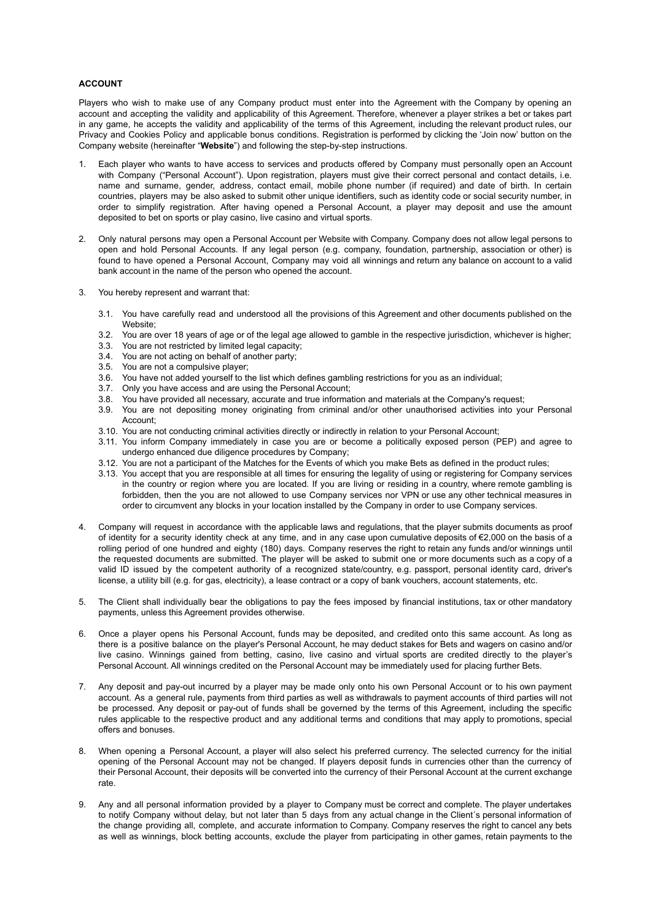# **ACCOUNT**

Players who wish to make use of any Company product must enter into the Agreement with the Company by opening an account and accepting the validity and applicability of this Agreement. Therefore, whenever a player strikes a bet or takes part in any game, he accepts the validity and applicability of the terms of this Agreement, including the relevant product rules, our Privacy and Cookies Policy and applicable bonus conditions. Registration is performed by clicking the 'Join now' button on the Company website (hereinafter "**Website**") and following the step-by-step instructions.

- 1. Each player who wants to have access to services and products offered by Company must personally open an Account with Company ("Personal Account"). Upon registration, players must give their correct personal and contact details, i.e. name and surname, gender, address, contact email, mobile phone number (if required) and date of birth. In certain countries, players may be also asked to submit other unique identifiers, such as identity code or social security number, in order to simplify registration. After having opened a Personal Account, a player may deposit and use the amount deposited to bet on sports or play casino, live casino and virtual sports.
- 2. Only natural persons may open a Personal Account per Website with Company. Company does not allow legal persons to open and hold Personal Accounts. If any legal person (e.g. company, foundation, partnership, association or other) is found to have opened a Personal Account, Company may void all winnings and return any balance on account to a valid bank account in the name of the person who opened the account.
- 3. You hereby represent and warrant that:
	- 3.1. You have carefully read and understood all the provisions of this Agreement and other documents published on the Website;
	- 3.2. You are over 18 years of age or of the legal age allowed to gamble in the respective jurisdiction, whichever is higher;
	- 3.3. You are not restricted by limited legal capacity;
	- 3.4. You are not acting on behalf of another party;
	- 3.5. You are not a compulsive player;
	- 3.6. You have not added yourself to the list which defines gambling restrictions for you as an individual;
	- 3.7. Only you have access and are using the Personal Account;
	- 3.8. You have provided all necessary, accurate and true information and materials at the Company's request;
	- 3.9. You are not depositing money originating from criminal and/or other unauthorised activities into your Personal Account;
	- 3.10. You are not conducting criminal activities directly or indirectly in relation to your Personal Account;
	- 3.11. You inform Company immediately in case you are or become a politically exposed person (PEP) and agree to undergo enhanced due diligence procedures by Company;
	- 3.12. You are not a participant of the Matches for the Events of which you make Bets as defined in the product rules;
	- 3.13. You accept that you are responsible at all times for ensuring the legality of using or registering for Company services in the country or region where you are located. If you are living or residing in a country, where remote gambling is forbidden, then the you are not allowed to use Company services nor VPN or use any other technical measures in order to circumvent any blocks in your location installed by the Company in order to use Company services.
- 4. Company will request in accordance with the applicable laws and regulations, that the player submits documents as proof of identity for a security identity check at any time, and in any case upon cumulative deposits of €2,000 on the basis of a rolling period of one hundred and eighty (180) days. Company reserves the right to retain any funds and/or winnings until the requested documents are submitted. The player will be asked to submit one or more documents such as a copy of a valid ID issued by the competent authority of a recognized state/country, e.g. passport, personal identity card, driver's license, a utility bill (e.g. for gas, electricity), a lease contract or a copy of bank vouchers, account statements, etc.
- 5. The Client shall individually bear the obligations to pay the fees imposed by financial institutions, tax or other mandatory payments, unless this Agreement provides otherwise.
- 6. Once a player opens his Personal Account, funds may be deposited, and credited onto this same account. As long as there is a positive balance on the player's Personal Account, he may deduct stakes for Bets and wagers on casino and/or live casino. Winnings gained from betting, casino, live casino and virtual sports are credited directly to the player's Personal Account. All winnings credited on the Personal Account may be immediately used for placing further Bets.
- 7. Any deposit and pay-out incurred by a player may be made only onto his own Personal Account or to his own payment account. As a general rule, payments from third parties as well as withdrawals to payment accounts of third parties will not be processed. Any deposit or pay-out of funds shall be governed by the terms of this Agreement, including the specific rules applicable to the respective product and any additional terms and conditions that may apply to promotions, special offers and bonuses.
- 8. When opening a Personal Account, a player will also select his preferred currency. The selected currency for the initial opening of the Personal Account may not be changed. If players deposit funds in currencies other than the currency of their Personal Account, their deposits will be converted into the currency of their Personal Account at the current exchange rate.
- 9. Any and all personal information provided by a player to Company must be correct and complete. The player undertakes to notify Company without delay, but not later than 5 days from any actual change in the Client´s personal information of the change providing all, complete, and accurate information to Company. Company reserves the right to cancel any bets as well as winnings, block betting accounts, exclude the player from participating in other games, retain payments to the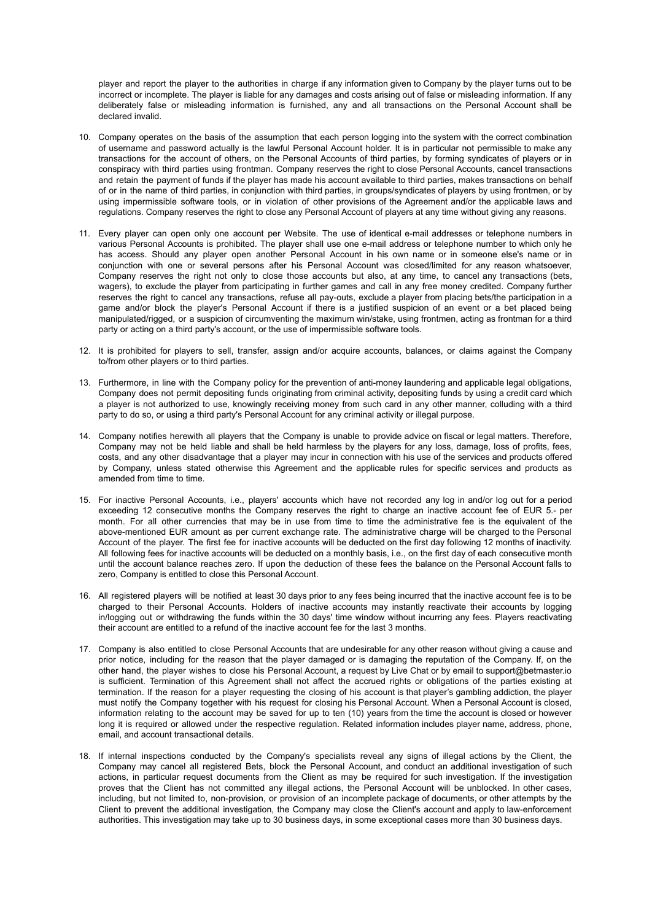player and report the player to the authorities in charge if any information given to Company by the player turns out to be incorrect or incomplete. The player is liable for any damages and costs arising out of false or misleading information. If any deliberately false or misleading information is furnished, any and all transactions on the Personal Account shall be declared invalid.

- 10. Company operates on the basis of the assumption that each person logging into the system with the correct combination of username and password actually is the lawful Personal Account holder. It is in particular not permissible to make any transactions for the account of others, on the Personal Accounts of third parties, by forming syndicates of players or in conspiracy with third parties using frontman. Company reserves the right to close Personal Accounts, cancel transactions and retain the payment of funds if the player has made his account available to third parties, makes transactions on behalf of or in the name of third parties, in conjunction with third parties, in groups/syndicates of players by using frontmen, or by using impermissible software tools, or in violation of other provisions of the Agreement and/or the applicable laws and regulations. Company reserves the right to close any Personal Account of players at any time without giving any reasons.
- 11. Every player can open only one account per Website. The use of identical e-mail addresses or telephone numbers in various Personal Accounts is prohibited. The player shall use one e-mail address or telephone number to which only he has access. Should any player open another Personal Account in his own name or in someone else's name or in conjunction with one or several persons after his Personal Account was closed/limited for any reason whatsoever, Company reserves the right not only to close those accounts but also, at any time, to cancel any transactions (bets, wagers), to exclude the player from participating in further games and call in any free money credited. Company further reserves the right to cancel any transactions, refuse all pay-outs, exclude a player from placing bets/the participation in a game and/or block the player's Personal Account if there is a justified suspicion of an event or a bet placed being manipulated/rigged, or a suspicion of circumventing the maximum win/stake, using frontmen, acting as frontman for a third party or acting on a third party's account, or the use of impermissible software tools.
- 12. It is prohibited for players to sell, transfer, assign and/or acquire accounts, balances, or claims against the Company to/from other players or to third parties.
- 13. Furthermore, in line with the Company policy for the prevention of anti-money laundering and applicable legal obligations, Company does not permit depositing funds originating from criminal activity, depositing funds by using a credit card which a player is not authorized to use, knowingly receiving money from such card in any other manner, colluding with a third party to do so, or using a third party's Personal Account for any criminal activity or illegal purpose.
- 14. Company notifies herewith all players that the Company is unable to provide advice on fiscal or legal matters. Therefore, Company may not be held liable and shall be held harmless by the players for any loss, damage, loss of profits, fees, costs, and any other disadvantage that a player may incur in connection with his use of the services and products offered by Company, unless stated otherwise this Agreement and the applicable rules for specific services and products as amended from time to time.
- 15. For inactive Personal Accounts, i.e., players' accounts which have not recorded any log in and/or log out for a period exceeding 12 consecutive months the Company reserves the right to charge an inactive account fee of EUR 5.- per month. For all other currencies that may be in use from time to time the administrative fee is the equivalent of the above-mentioned EUR amount as per current exchange rate. The administrative charge will be charged to the Personal Account of the player. The first fee for inactive accounts will be deducted on the first day following 12 months of inactivity. All following fees for inactive accounts will be deducted on a monthly basis, i.e., on the first day of each consecutive month until the account balance reaches zero. If upon the deduction of these fees the balance on the Personal Account falls to zero, Company is entitled to close this Personal Account.
- 16. All registered players will be notified at least 30 days prior to any fees being incurred that the inactive account fee is to be charged to their Personal Accounts. Holders of inactive accounts may instantly reactivate their accounts by logging in/logging out or withdrawing the funds within the 30 days' time window without incurring any fees. Players reactivating their account are entitled to a refund of the inactive account fee for the last 3 months.
- 17. Company is also entitled to close Personal Accounts that are undesirable for any other reason without giving a cause and prior notice, including for the reason that the player damaged or is damaging the reputation of the Company. If, on the other hand, the player wishes to close his Personal Account, a request by Live Chat or by email to support@betmaster.io is sufficient. Termination of this Agreement shall not affect the accrued rights or obligations of the parties existing at termination. If the reason for a player requesting the closing of his account is that player's gambling addiction, the player must notify the Company together with his request for closing his Personal Account. When a Personal Account is closed, information relating to the account may be saved for up to ten (10) years from the time the account is closed or however long it is required or allowed under the respective regulation. Related information includes player name, address, phone, email, and account transactional details.
- 18. If internal inspections conducted by the Company's specialists reveal any signs of illegal actions by the Client, the Company may cancel all registered Bets, block the Personal Account, and conduct an additional investigation of such actions, in particular request documents from the Client as may be required for such investigation. If the investigation proves that the Client has not committed any illegal actions, the Personal Account will be unblocked. In other cases, including, but not limited to, non-provision, or provision of an incomplete package of documents, or other attempts by the Client to prevent the additional investigation, the Company may close the Client's account and apply to law-enforcement authorities. This investigation may take up to 30 business days, in some exceptional cases more than 30 business days.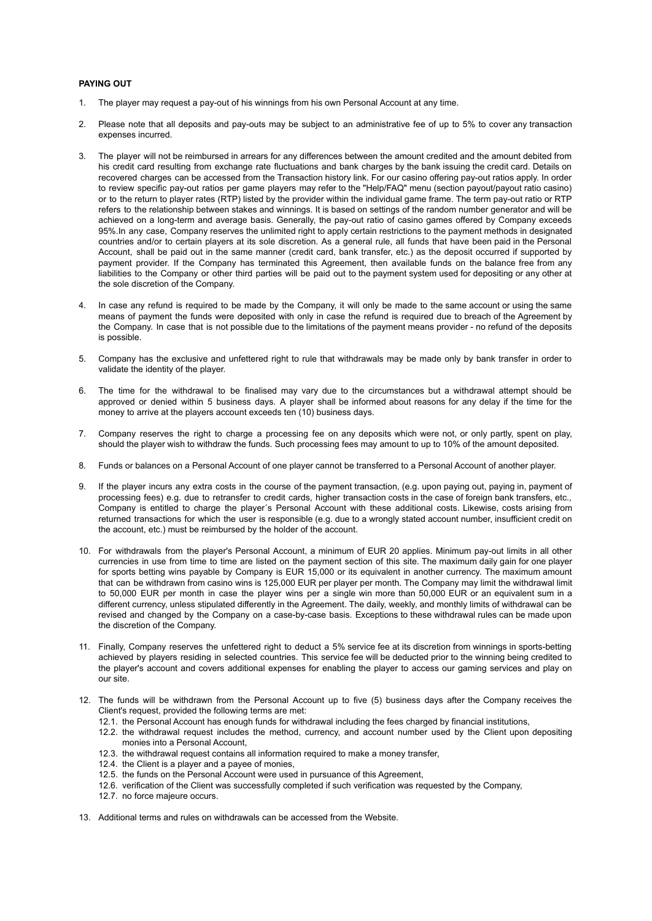## **PAYING OUT**

- 1. The player may request a pay-out of his winnings from his own Personal Account at any time.
- 2. Please note that all deposits and pay-outs may be subject to an administrative fee of up to 5% to cover any transaction expenses incurred.
- 3. The player will not be reimbursed in arrears for any differences between the amount credited and the amount debited from his credit card resulting from exchange rate fluctuations and bank charges by the bank issuing the credit card. Details on recovered charges can be accessed from the Transaction history link. For our casino offering pay-out ratios apply. In order to review specific pay-out ratios per game players may refer to the "Help/FAQ" menu (section payout/payout ratio casino) or to the return to player rates (RTP) listed by the provider within the individual game frame. The term pay-out ratio or RTP refers to the relationship between stakes and winnings. It is based on settings of the random number generator and will be achieved on a long-term and average basis. Generally, the pay-out ratio of casino games offered by Company exceeds 95%.In any case, Company reserves the unlimited right to apply certain restrictions to the payment methods in designated countries and/or to certain players at its sole discretion. As a general rule, all funds that have been paid in the Personal Account, shall be paid out in the same manner (credit card, bank transfer, etc.) as the deposit occurred if supported by payment provider. If the Company has terminated this Agreement, then available funds on the balance free from any liabilities to the Company or other third parties will be paid out to the payment system used for depositing or any other at the sole discretion of the Company.
- In case any refund is required to be made by the Company, it will only be made to the same account or using the same means of payment the funds were deposited with only in case the refund is required due to breach of the Agreement by the Company. In case that is not possible due to the limitations of the payment means provider - no refund of the deposits is possible.
- 5. Company has the exclusive and unfettered right to rule that withdrawals may be made only by bank transfer in order to validate the identity of the player.
- 6. The time for the withdrawal to be finalised may vary due to the circumstances but a withdrawal attempt should be approved or denied within 5 business days. A player shall be informed about reasons for any delay if the time for the money to arrive at the players account exceeds ten (10) business days.
- 7. Company reserves the right to charge a processing fee on any deposits which were not, or only partly, spent on play, should the player wish to withdraw the funds. Such processing fees may amount to up to 10% of the amount deposited.
- 8. Funds or balances on a Personal Account of one player cannot be transferred to a Personal Account of another player.
- 9. If the player incurs any extra costs in the course of the payment transaction, (e.g. upon paying out, paying in, payment of processing fees) e.g. due to retransfer to credit cards, higher transaction costs in the case of foreign bank transfers, etc., Company is entitled to charge the player´s Personal Account with these additional costs. Likewise, costs arising from returned transactions for which the user is responsible (e.g. due to a wrongly stated account number, insufficient credit on the account, etc.) must be reimbursed by the holder of the account.
- 10. For withdrawals from the player's Personal Account, a minimum of EUR 20 applies. Minimum pay-out limits in all other currencies in use from time to time are listed on the payment section of this site. The maximum daily gain for one player for sports betting wins payable by Company is EUR 15,000 or its equivalent in another currency. The maximum amount that can be withdrawn from casino wins is 125,000 EUR per player per month. The Company may limit the withdrawal limit to 50,000 EUR per month in case the player wins per a single win more than 50,000 EUR or an equivalent sum in a different currency, unless stipulated differently in the Agreement. The daily, weekly, and monthly limits of withdrawal can be revised and changed by the Company on a case-by-case basis. Exceptions to these withdrawal rules can be made upon the discretion of the Company.
- 11. Finally, Company reserves the unfettered right to deduct a 5% service fee at its discretion from winnings in sports-betting achieved by players residing in selected countries. This service fee will be deducted prior to the winning being credited to the player's account and covers additional expenses for enabling the player to access our gaming services and play on our site.
- 12. The funds will be withdrawn from the Personal Account up to five (5) business days after the Company receives the Client's request, provided the following terms are met:
	- 12.1. the Personal Account has enough funds for withdrawal including the fees charged by financial institutions,
	- 12.2. the withdrawal request includes the method, currency, and account number used by the Client upon depositing monies into a Personal Account,
	- 12.3. the withdrawal request contains all information required to make a money transfer,
	- 12.4. the Client is a player and a payee of monies,
	- 12.5. the funds on the Personal Account were used in pursuance of this Agreement,
	- 12.6. verification of the Client was successfully completed if such verification was requested by the Company,
	- 12.7. no force majeure occurs.
- 13. Additional terms and rules on withdrawals can be accessed from the Website.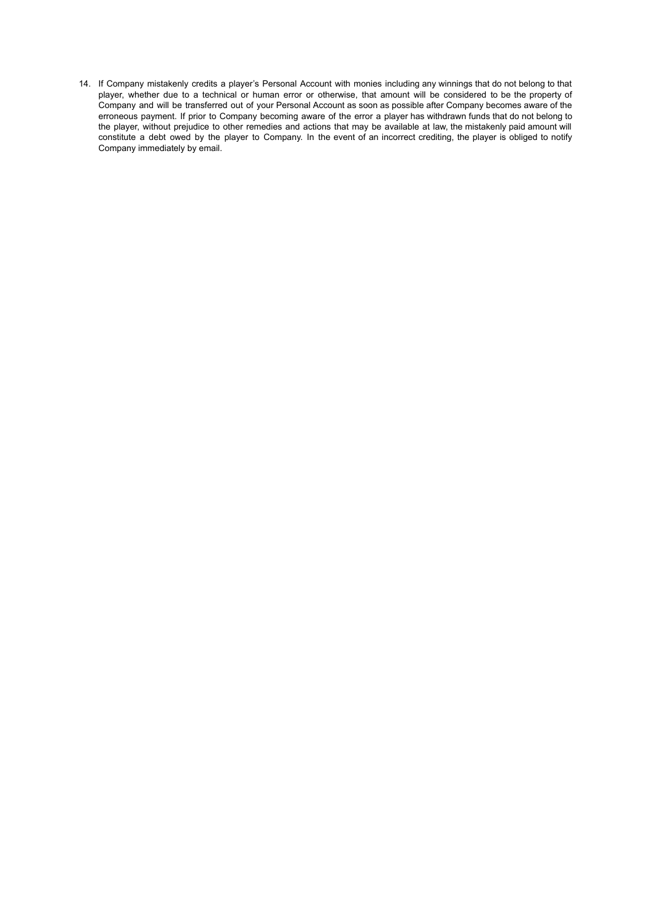14. If Company mistakenly credits a player's Personal Account with monies including any winnings that do not belong to that player, whether due to a technical or human error or otherwise, that amount will be considered to be the property of Company and will be transferred out of your Personal Account as soon as possible after Company becomes aware of the erroneous payment. If prior to Company becoming aware of the error a player has withdrawn funds that do not belong to the player, without prejudice to other remedies and actions that may be available at law, the mistakenly paid amount will constitute a debt owed by the player to Company. In the event of an incorrect crediting, the player is obliged to notify Company immediately by email.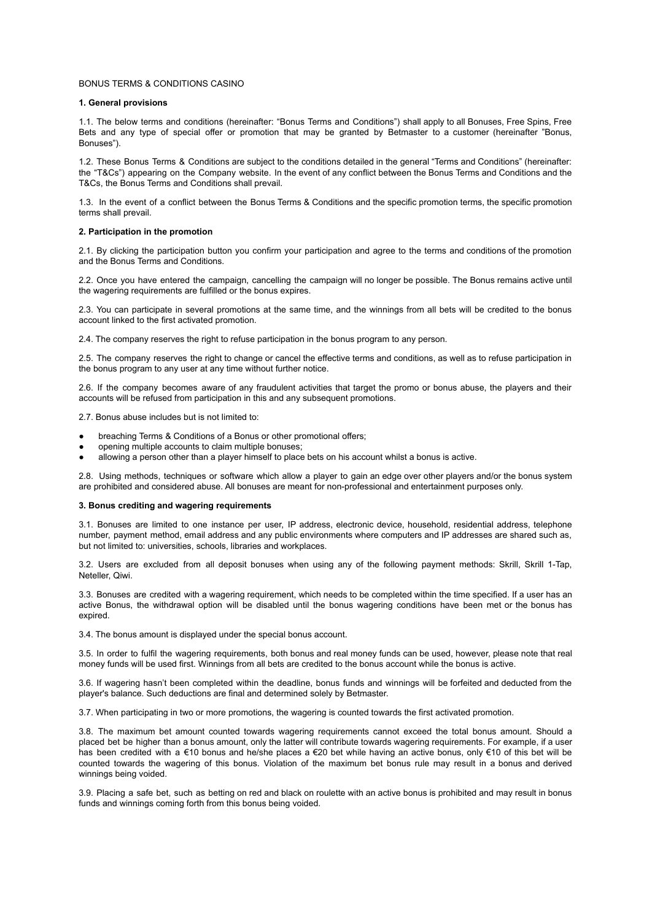### BONUS TERMS & CONDITIONS CASINO

## **1. General provisions**

1.1. The below terms and conditions (hereinafter: "Bonus Terms and Conditions") shall apply to all Bonuses, Free Spins, Free Bets and any type of special offer or promotion that may be granted by Betmaster to a customer (hereinafter "Bonus, Bonuses").

1.2. These Bonus Terms & Conditions are subject to the conditions detailed in the general "Terms and Conditions" (hereinafter: the "T&Cs") appearing on the Company website. In the event of any conflict between the Bonus Terms and Conditions and the T&Cs, the Bonus Terms and Conditions shall prevail.

1.3. In the event of a conflict between the Bonus Terms & Conditions and the specific promotion terms, the specific promotion terms shall prevail.

#### **2. Participation in the promotion**

2.1. By clicking the participation button you confirm your participation and agree to the terms and conditions of the promotion and the Bonus Terms and Conditions.

2.2. Once you have entered the campaign, cancelling the campaign will no longer be possible. The Bonus remains active until the wagering requirements are fulfilled or the bonus expires.

2.3. You can participate in several promotions at the same time, and the winnings from all bets will be credited to the bonus account linked to the first activated promotion.

2.4. The company reserves the right to refuse participation in the bonus program to any person.

2.5. The company reserves the right to change or cancel the effective terms and conditions, as well as to refuse participation in the bonus program to any user at any time without further notice.

2.6. If the company becomes aware of any fraudulent activities that target the promo or bonus abuse, the players and their accounts will be refused from participation in this and any subsequent promotions.

2.7. Bonus abuse includes but is not limited to:

- breaching Terms & Conditions of a Bonus or other promotional offers;
- opening multiple accounts to claim multiple bonuses;
- allowing a person other than a player himself to place bets on his account whilst a bonus is active.

2.8. Using methods, techniques or software which allow a player to gain an edge over other players and/or the bonus system are prohibited and considered abuse. All bonuses are meant for non-professional and entertainment purposes only.

#### **3. Bonus crediting and wagering requirements**

3.1. Bonuses are limited to one instance per user, IP address, electronic device, household, residential address, telephone number, payment method, email address and any public environments where computers and IP addresses are shared such as, but not limited to: universities, schools, libraries and workplaces.

3.2. Users are excluded from all deposit bonuses when using any of the following payment methods: Skrill, Skrill 1-Tap, Neteller, Qiwi.

3.3. Bonuses are credited with a wagering requirement, which needs to be completed within the time specified. If a user has an active Bonus, the withdrawal option will be disabled until the bonus wagering conditions have been met or the bonus has expired.

3.4. The bonus amount is displayed under the special bonus account.

3.5. In order to fulfil the wagering requirements, both bonus and real money funds can be used, however, please note that real money funds will be used first. Winnings from all bets are credited to the bonus account while the bonus is active.

3.6. If wagering hasn't been completed within the deadline, bonus funds and winnings will be forfeited and deducted from the player's balance. Such deductions are final and determined solely by Betmaster.

3.7. When participating in two or more promotions, the wagering is counted towards the first activated promotion.

3.8. The maximum bet amount counted towards wagering requirements cannot exceed the total bonus amount. Should a placed bet be higher than a bonus amount, only the latter will contribute towards wagering requirements. For example, if a user has been credited with a €10 bonus and he/she places a €20 bet while having an active bonus, only €10 of this bet will be counted towards the wagering of this bonus. Violation of the maximum bet bonus rule may result in a bonus and derived winnings being voided.

3.9. Placing a safe bet, such as betting on red and black on roulette with an active bonus is prohibited and may result in bonus funds and winnings coming forth from this bonus being voided.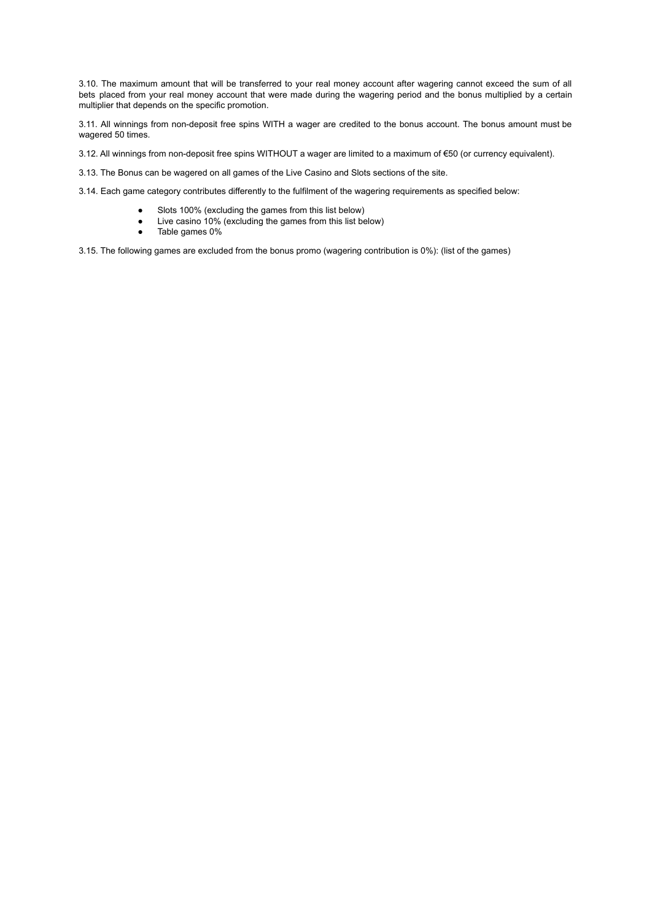3.10. The maximum amount that will be transferred to your real money account after wagering cannot exceed the sum of all bets placed from your real money account that were made during the wagering period and the bonus multiplied by a certain multiplier that depends on the specific promotion.

3.11. All winnings from non-deposit free spins WITH a wager are credited to the bonus account. The bonus amount must be wagered 50 times.

3.12. All winnings from non-deposit free spins WITHOUT a wager are limited to a maximum of €50 (or currency equivalent).

3.13. The Bonus can be wagered on all games of the Live Casino and Slots sections of the site.

3.14. Each game category contributes differently to the fulfilment of the wagering requirements as specified below:

- Slots 100% (excluding the games from this list below)
- Live casino 10% (excluding the games from this list below)
- Table games 0%

3.15. The following games are excluded from the bonus promo (wagering contribution is 0%): (list of the games)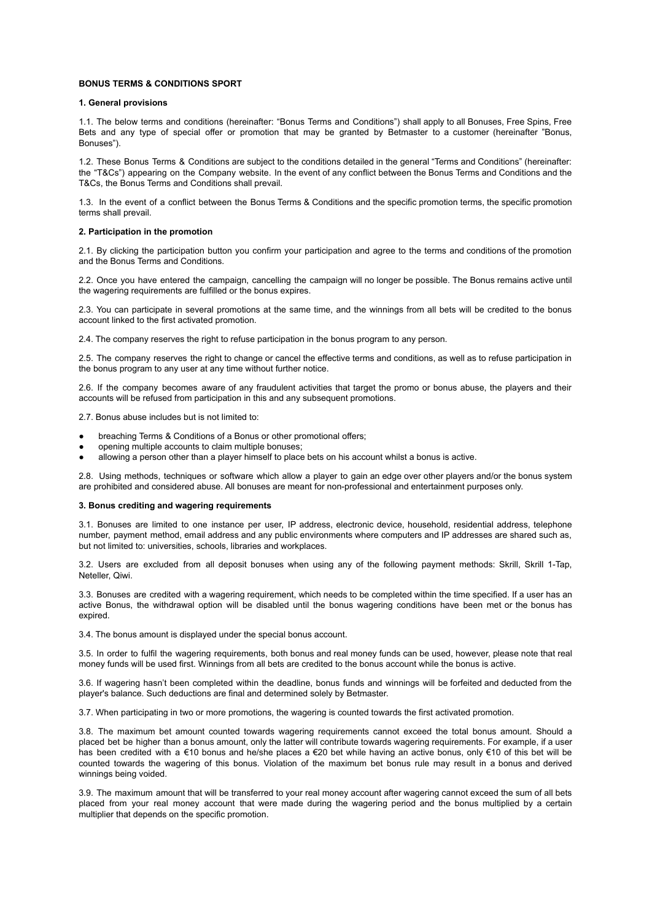## **BONUS TERMS & CONDITIONS SPORT**

## **1. General provisions**

1.1. The below terms and conditions (hereinafter: "Bonus Terms and Conditions") shall apply to all Bonuses, Free Spins, Free Bets and any type of special offer or promotion that may be granted by Betmaster to a customer (hereinafter "Bonus, Bonuses").

1.2. These Bonus Terms & Conditions are subject to the conditions detailed in the general "Terms and Conditions" (hereinafter: the "T&Cs") appearing on the Company website. In the event of any conflict between the Bonus Terms and Conditions and the T&Cs, the Bonus Terms and Conditions shall prevail.

1.3. In the event of a conflict between the Bonus Terms & Conditions and the specific promotion terms, the specific promotion terms shall prevail.

#### **2. Participation in the promotion**

2.1. By clicking the participation button you confirm your participation and agree to the terms and conditions of the promotion and the Bonus Terms and Conditions.

2.2. Once you have entered the campaign, cancelling the campaign will no longer be possible. The Bonus remains active until the wagering requirements are fulfilled or the bonus expires.

2.3. You can participate in several promotions at the same time, and the winnings from all bets will be credited to the bonus account linked to the first activated promotion.

2.4. The company reserves the right to refuse participation in the bonus program to any person.

2.5. The company reserves the right to change or cancel the effective terms and conditions, as well as to refuse participation in the bonus program to any user at any time without further notice.

2.6. If the company becomes aware of any fraudulent activities that target the promo or bonus abuse, the players and their accounts will be refused from participation in this and any subsequent promotions.

2.7. Bonus abuse includes but is not limited to:

- breaching Terms & Conditions of a Bonus or other promotional offers;
- opening multiple accounts to claim multiple bonuses;
- allowing a person other than a player himself to place bets on his account whilst a bonus is active.

2.8. Using methods, techniques or software which allow a player to gain an edge over other players and/or the bonus system are prohibited and considered abuse. All bonuses are meant for non-professional and entertainment purposes only.

#### **3. Bonus crediting and wagering requirements**

3.1. Bonuses are limited to one instance per user, IP address, electronic device, household, residential address, telephone number, payment method, email address and any public environments where computers and IP addresses are shared such as, but not limited to: universities, schools, libraries and workplaces.

3.2. Users are excluded from all deposit bonuses when using any of the following payment methods: Skrill, Skrill 1-Tap, Neteller, Qiwi.

3.3. Bonuses are credited with a wagering requirement, which needs to be completed within the time specified. If a user has an active Bonus, the withdrawal option will be disabled until the bonus wagering conditions have been met or the bonus has expired.

3.4. The bonus amount is displayed under the special bonus account.

3.5. In order to fulfil the wagering requirements, both bonus and real money funds can be used, however, please note that real money funds will be used first. Winnings from all bets are credited to the bonus account while the bonus is active.

3.6. If wagering hasn't been completed within the deadline, bonus funds and winnings will be forfeited and deducted from the player's balance. Such deductions are final and determined solely by Betmaster.

3.7. When participating in two or more promotions, the wagering is counted towards the first activated promotion.

3.8. The maximum bet amount counted towards wagering requirements cannot exceed the total bonus amount. Should a placed bet be higher than a bonus amount, only the latter will contribute towards wagering requirements. For example, if a user has been credited with a €10 bonus and he/she places a €20 bet while having an active bonus, only €10 of this bet will be counted towards the wagering of this bonus. Violation of the maximum bet bonus rule may result in a bonus and derived winnings being voided.

3.9. The maximum amount that will be transferred to your real money account after wagering cannot exceed the sum of all bets placed from your real money account that were made during the wagering period and the bonus multiplied by a certain multiplier that depends on the specific promotion.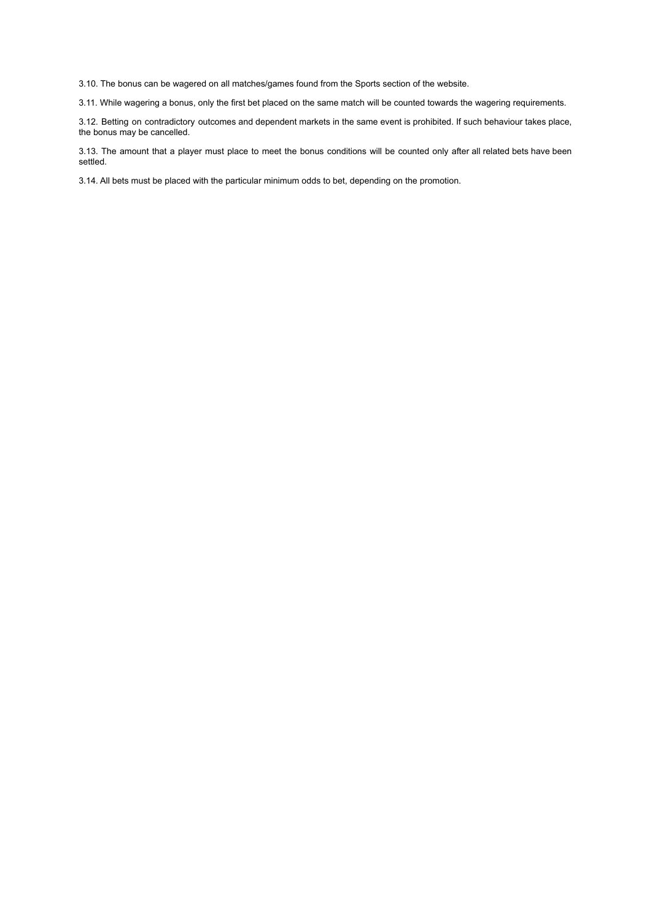3.10. The bonus can be wagered on all matches/games found from the Sports section of the website.

3.11. While wagering a bonus, only the first bet placed on the same match will be counted towards the wagering requirements.

3.12. Betting on contradictory outcomes and dependent markets in the same event is prohibited. If such behaviour takes place, the bonus may be cancelled.

3.13. The amount that a player must place to meet the bonus conditions will be counted only after all related bets have been settled.

3.14. All bets must be placed with the particular minimum odds to bet, depending on the promotion.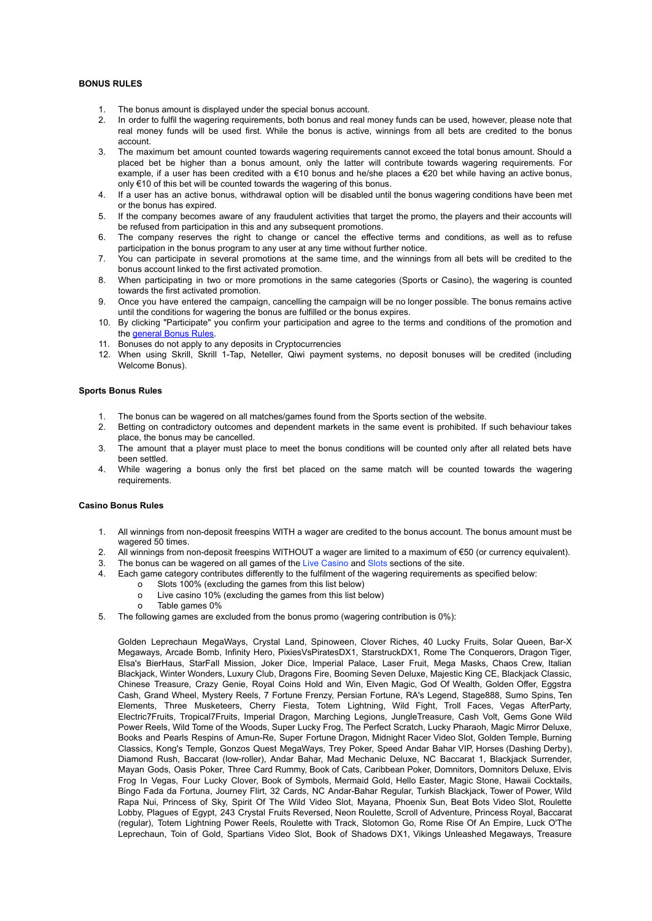# **BONUS RULES**

- 1. The bonus amount is displayed under the special bonus account.
- 2. In order to fulfil the wagering requirements, both bonus and real money funds can be used, however, please note that real money funds will be used first. While the bonus is active, winnings from all bets are credited to the bonus account.
- 3. The maximum bet amount counted towards wagering requirements cannot exceed the total bonus amount. Should a placed bet be higher than a bonus amount, only the latter will contribute towards wagering requirements. For example, if a user has been credited with a €10 bonus and he/she places a €20 bet while having an active bonus, only €10 of this bet will be counted towards the wagering of this bonus.
- 4. If a user has an active bonus, withdrawal option will be disabled until the bonus wagering conditions have been met or the bonus has expired.
- 5. If the company becomes aware of any fraudulent activities that target the promo, the players and their accounts will be refused from participation in this and any subsequent promotions.
- 6. The company reserves the right to change or cancel the effective terms and conditions, as well as to refuse participation in the bonus program to any user at any time without further notice.
- 7. You can participate in several promotions at the same time, and the winnings from all bets will be credited to the bonus account linked to the first activated promotion.
- 8. When participating in two or more promotions in the same categories (Sports or Casino), the wagering is counted towards the first activated promotion.
- 9. Once you have entered the campaign, cancelling the campaign will be no longer possible. The bonus remains active until the conditions for wagering the bonus are fulfilled or the bonus expires.
- 10. By clicking "Participate" you confirm your participation and agree to the terms and conditions of the promotion and the **[general](https://betmaster.io/agreement?lang=en) Bonus Rules**.
- 11. Bonuses do not apply to any deposits in Cryptocurrencies
- 12. When using Skrill, Skrill 1-Tap, Neteller, Qiwi payment systems, no deposit bonuses will be credited (including Welcome Bonus).

# **Sports Bonus Rules**

- 1. The bonus can be wagered on all matches/games found from the Sports section of the website.<br>2. Betting on contradictory outcomes and dependent markets in the same event is prohibited. If
- 2. Betting on contradictory outcomes and dependent markets in the same event is prohibited. If such behaviour takes place, the bonus may be cancelled.
- 3. The amount that a player must place to meet the bonus conditions will be counted only after all related bets have been settled.
- 4. While wagering a bonus only the first bet placed on the same match will be counted towards the wagering requirements.

### **Casino Bonus Rules**

- 1. All winnings from non-deposit freespins WITH a wager are credited to the bonus account. The bonus amount must be wagered 50 times.
- 2. All winnings from non-deposit freespins WITHOUT a wager are limited to a maximum of €50 (or currency equivalent).
- 3. The bonus can be wagered on all games of the Live [Casino](https://betmaster.io/en/casino/live-casino/all) and [Slots](https://betmaster.io/en/casino/games/95) sections of the site.
- 4. Each game category contributes differently to the fulfilment of the wagering requirements as specified below:
	- o Slots 100% (excluding the games from this list below)
	- o Live casino 10% (excluding the games from this list below)
	- o Table games 0%
- 5. The following games are excluded from the bonus promo (wagering contribution is 0%):

Golden Leprechaun MegaWays, Crystal Land, Spinoween, Clover Riches, 40 Lucky Fruits, Solar Queen, Bar-X Megaways, Arcade Bomb, Infinity Hero, PixiesVsPiratesDX1, StarstruckDX1, Rome The Conquerors, Dragon Tiger, Elsa's BierHaus, StarFall Mission, Joker Dice, Imperial Palace, Laser Fruit, Mega Masks, Chaos Crew, Italian Blackjack, Winter Wonders, Luxury Club, Dragons Fire, Booming Seven Deluxe, Majestic King CE, Blackjack Classic, Chinese Treasure, Crazy Genie, Royal Coins Hold and Win, Elven Magic, God Of Wealth, Golden Offer, Eggstra Cash, Grand Wheel, Mystery Reels, 7 Fortune Frenzy, Persian Fortune, RA's Legend, Stage888, Sumo Spins, Ten Elements, Three Musketeers, Cherry Fiesta, Totem Lightning, Wild Fight, Troll Faces, Vegas AfterParty, Electric7Fruits, Tropical7Fruits, Imperial Dragon, Marching Legions, JungleTreasure, Cash Volt, Gems Gone Wild Power Reels, Wild Tome of the Woods, Super Lucky Frog, The Perfect Scratch, Lucky Pharaoh, Magic Mirror Deluxe, Books and Pearls Respins of Amun-Re, Super Fortune Dragon, Midnight Racer Video Slot, Golden Temple, Burning Classics, Kong's Temple, Gonzos Quest MegaWays, Trey Poker, Speed Andar Bahar VIP, Horses (Dashing Derby), Diamond Rush, Baccarat (low-roller), Andar Bahar, Mad Mechanic Deluxe, NC Baccarat 1, Blackjack Surrender, Mayan Gods, Oasis Poker, Three Card Rummy, Book of Cats, Caribbean Poker, Domnitors, Domnitors Deluxe, Elvis Frog In Vegas, Four Lucky Clover, Book of Symbols, Mermaid Gold, Hello Easter, Magic Stone, Hawaii Cocktails, Bingo Fada da Fortuna, Journey Flirt, 32 Cards, NC Andar-Bahar Regular, Turkish Blackjack, Tower of Power, Wild Rapa Nui, Princess of Sky, Spirit Of The Wild Video Slot, Mayana, Phoenix Sun, Beat Bots Video Slot, Roulette Lobby, Plagues of Egypt, 243 Crystal Fruits Reversed, Neon Roulette, Scroll of Adventure, Princess Royal, Baccarat (regular), Totem Lightning Power Reels, Roulette with Track, Slotomon Go, Rome Rise Of An Empire, Luck O'The Leprechaun, Toin of Gold, Spartians Video Slot, Book of Shadows DX1, Vikings Unleashed Megaways, Treasure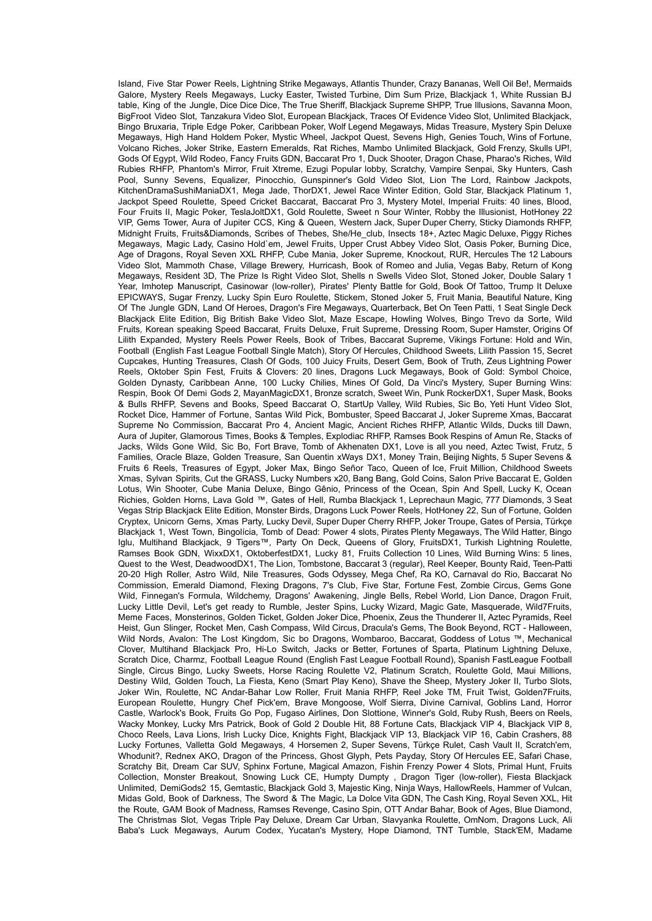Island, Five Star Power Reels, Lightning Strike Megaways, Atlantis Thunder, Crazy Bananas, Well Oil Be!, Mermaids Galore, Mystery Reels Megaways, Lucky Easter, Twisted Turbine, Dim Sum Prize, Blackjack 1, White Russian BJ table, King of the Jungle, Dice Dice Dice, The True Sheriff, Blackjack Supreme SHPP, True Illusions, Savanna Moon, BigFroot Video Slot, Tanzakura Video Slot, European Blackjack, Traces Of Evidence Video Slot, Unlimited Blackjack, Bingo Bruxaria, Triple Edge Poker, Caribbean Poker, Wolf Legend Megaways, Midas Treasure, Mystery Spin Deluxe Megaways, High Hand Holdem Poker, Mystic Wheel, Jackpot Quest, Sevens High, Genies Touch, Wins of Fortune, Volcano Riches, Joker Strike, Eastern Emeralds, Rat Riches, Mambo Unlimited Blackjack, Gold Frenzy, Skulls UP!, Gods Of Egypt, Wild Rodeo, Fancy Fruits GDN, Baccarat Pro 1, Duck Shooter, Dragon Chase, Pharao's Riches, Wild Rubies RHFP, Phantom's Mirror, Fruit Xtreme, Ezugi Popular lobby, Scratchy, Vampire Senpai, Sky Hunters, Cash Pool, Sunny Sevens, Equalizer, Pinocchio, Gunspinner's Gold Video Slot, Lion The Lord, Rainbow Jackpots, KitchenDramaSushiManiaDX1, Mega Jade, ThorDX1, Jewel Race Winter Edition, Gold Star, Blackjack Platinum 1, Jackpot Speed Roulette, Speed Cricket Baccarat, Baccarat Pro 3, Mystery Motel, Imperial Fruits: 40 lines, Blood, Four Fruits II, Magic Poker, TeslaJoltDX1, Gold Roulette, Sweet n Sour Winter, Robby the Illusionist, HotHoney 22 VIP, Gems Tower, Aura of Jupiter CCS, King & Queen, Western Jack, Super Duper Cherry, Sticky Diamonds RHFP, Midnight Fruits, Fruits&Diamonds, Scribes of Thebes, She/He\_club, Insects 18+, Aztec Magic Deluxe, Piggy Riches Megaways, Magic Lady, Casino Hold`em, Jewel Fruits, Upper Crust Abbey Video Slot, Oasis Poker, Burning Dice, Age of Dragons, Royal Seven XXL RHFP, Cube Mania, Joker Supreme, Knockout, RUR, Hercules The 12 Labours Video Slot, Mammoth Chase, Village Brewery, Hurricash, Book of Romeo and Julia, Vegas Baby, Return of Kong Megaways, Resident 3D, The Prize Is Right Video Slot, Shells n Swells Video Slot, Stoned Joker, Double Salary 1 Year, Imhotep Manuscript, Casinowar (low-roller), Pirates' Plenty Battle for Gold, Book Of Tattoo, Trump It Deluxe EPICWAYS, Sugar Frenzy, Lucky Spin Euro Roulette, Stickem, Stoned Joker 5, Fruit Mania, Beautiful Nature, King Of The Jungle GDN, Land Of Heroes, Dragon's Fire Megaways, Quarterback, Bet On Teen Patti, 1 Seat Single Deck Blackjack Elite Edition, Big British Bake Video Slot, Maze Escape, Howling Wolves, Bingo Trevo da Sorte, Wild Fruits, Korean speaking Speed Baccarat, Fruits Deluxe, Fruit Supreme, Dressing Room, Super Hamster, Origins Of Lilith Expanded, Mystery Reels Power Reels, Book of Tribes, Baccarat Supreme, Vikings Fortune: Hold and Win, Football (English Fast League Football Single Match), Story Of Hercules, Childhood Sweets, Lilith Passion 15, Secret Cupcakes, Hunting Treasures, Clash Of Gods, 100 Juicy Fruits, Desert Gem, Book of Truth, Zeus Lightning Power Reels, Oktober Spin Fest, Fruits & Clovers: 20 lines, Dragons Luck Megaways, Book of Gold: Symbol Choice, Golden Dynasty, Caribbean Anne, 100 Lucky Chilies, Mines Of Gold, Da Vinci's Mystery, Super Burning Wins: Respin, Book Of Demi Gods 2, MayanMagicDX1, Bronze scratch, Sweet Win, Punk RockerDX1, Super Mask, Books & Bulls RHFP, Sevens and Books, Speed Baccarat O, StartUp Valley, Wild Rubies, Sic Bo, Yeti Hunt Video Slot, Rocket Dice, Hammer of Fortune, Santas Wild Pick, Bombuster, Speed Baccarat J, Joker Supreme Xmas, Baccarat Supreme No Commission, Baccarat Pro 4, Ancient Magic, Ancient Riches RHFP, Atlantic Wilds, Ducks till Dawn, Aura of Jupiter, Glamorous Times, Books & Temples, Explodiac RHFP, Ramses Book Respins of Amun Re, Stacks of Jacks, Wilds Gone Wild, Sic Bo, Fort Brave, Tomb of Akhenaten DX1, Love is all you need, Aztec Twist, Frutz, 5 Families, Oracle Blaze, Golden Treasure, San Quentin xWays DX1, Money Train, Beijing Nights, 5 Super Sevens & Fruits 6 Reels, Treasures of Egypt, Joker Max, Bingo Señor Taco, Queen of Ice, Fruit Million, Childhood Sweets Xmas, Sylvan Spirits, Cut the GRASS, Lucky Numbers x20, Bang Bang, Gold Coins, Salon Prive Baccarat E, Golden Lotus, Win Shooter, Cube Mania Deluxe, Bingo Gênio, Princess of the Ocean, Spin And Spell, Lucky K, Ocean Richies, Golden Horns, Lava Gold ™, Gates of Hell, Rumba Blackjack 1, Leprechaun Magic, 777 Diamonds, 3 Seat Vegas Strip Blackjack Elite Edition, Monster Birds, Dragons Luck Power Reels, HotHoney 22, Sun of Fortune, Golden Cryptex, Unicorn Gems, Xmas Party, Lucky Devil, Super Duper Cherry RHFP, Joker Troupe, Gates of Persia, Türkçe Blackjack 1, West Town, Bingolícia, Tomb of Dead: Power 4 slots, Pirates Plenty Megaways, The Wild Hatter, Bingo Iglu, Multihand Blackjack, 9 Tigers™, Party On Deck, Queens of Glory, FruitsDX1, Turkish Lightning Roulette, Ramses Book GDN, WixxDX1, OktoberfestDX1, Lucky 81, Fruits Collection 10 Lines, Wild Burning Wins: 5 lines, Quest to the West, DeadwoodDX1, The Lion, Tombstone, Baccarat 3 (regular), Reel Keeper, Bounty Raid, Teen-Patti 20-20 High Roller, Astro Wild, Nile Treasures, Gods Odyssey, Mega Chef, Ra KO, Carnaval do Rio, Baccarat No Commission, Emerald Diamond, Flexing Dragons, 7's Club, Five Star, Fortune Fest, Zombie Circus, Gems Gone Wild, Finnegan's Formula, Wildchemy, Dragons' Awakening, Jingle Bells, Rebel World, Lion Dance, Dragon Fruit, Lucky Little Devil, Let's get ready to Rumble, Jester Spins, Lucky Wizard, Magic Gate, Masquerade, Wild7Fruits, Meme Faces, Monsterinos, Golden Ticket, Golden Joker Dice, Phoenix, Zeus the Thunderer II, Aztec Pyramids, Reel Heist, Gun Slinger, Rocket Men, Cash Compass, Wild Circus, Dracula's Gems, The Book Beyond, RCT - Halloween, Wild Nords, Avalon: The Lost Kingdom, Sic bo Dragons, Wombaroo, Baccarat, Goddess of Lotus ™, Mechanical Clover, Multihand Blackjack Pro, Hi-Lo Switch, Jacks or Better, Fortunes of Sparta, Platinum Lightning Deluxe, Scratch Dice, Charmz, Football League Round (English Fast League Football Round), Spanish FastLeague Football Single, Circus Bingo, Lucky Sweets, Horse Racing Roulette V2, Platinum Scratch, Roulette Gold, Maui Millions, Destiny Wild, Golden Touch, La Fiesta, Keno (Smart Play Keno), Shave the Sheep, Mystery Joker II, Turbo Slots, Joker Win, Roulette, NC Andar-Bahar Low Roller, Fruit Mania RHFP, Reel Joke TM, Fruit Twist, Golden7Fruits, European Roulette, Hungry Chef Pick'em, Brave Mongoose, Wolf Sierra, Divine Carnival, Goblins Land, Horror Castle, Warlock's Book, Fruits Go Pop, Fugaso Airlines, Don Slottione, Winner's Gold, Ruby Rush, Beers on Reels, Wacky Monkey, Lucky Mrs Patrick, Book of Gold 2 Double Hit, 88 Fortune Cats, Blackjack VIP 4, Blackjack VIP 8, Choco Reels, Lava Lions, Irish Lucky Dice, Knights Fight, Blackjack VIP 13, Blackjack VIP 16, Cabin Crashers, 88 Lucky Fortunes, Valletta Gold Megaways, 4 Horsemen 2, Super Sevens, Türkçe Rulet, Cash Vault II, Scratch'em, Whodunit?, Rednex AKO, Dragon of the Princess, Ghost Glyph, Pets Payday, Story Of Hercules EE, Safari Chase, Scratchy Bit, Dream Car SUV, Sphinx Fortune, Magical Amazon, Fishin Frenzy Power 4 Slots, Primal Hunt, Fruits Collection, Monster Breakout, Snowing Luck CE, Humpty Dumpty , Dragon Tiger (low-roller), Fiesta Blackjack Unlimited, DemiGods2 15, Gemtastic, Blackjack Gold 3, Majestic King, Ninja Ways, HallowReels, Hammer of Vulcan, Midas Gold, Book of Darkness, The Sword & The Magic, La Dolce Vita GDN, The Cash King, Royal Seven XXL, Hit the Route, GAM Book of Madness, Ramses Revenge, Casino Spin, OTT Andar Bahar, Book of Ages, Blue Diamond, The Christmas Slot, Vegas Triple Pay Deluxe, Dream Car Urban, Slavyanka Roulette, OmNom, Dragons Luck, Ali Baba's Luck Megaways, Aurum Codex, Yucatan's Mystery, Hope Diamond, TNT Tumble, Stack'EM, Madame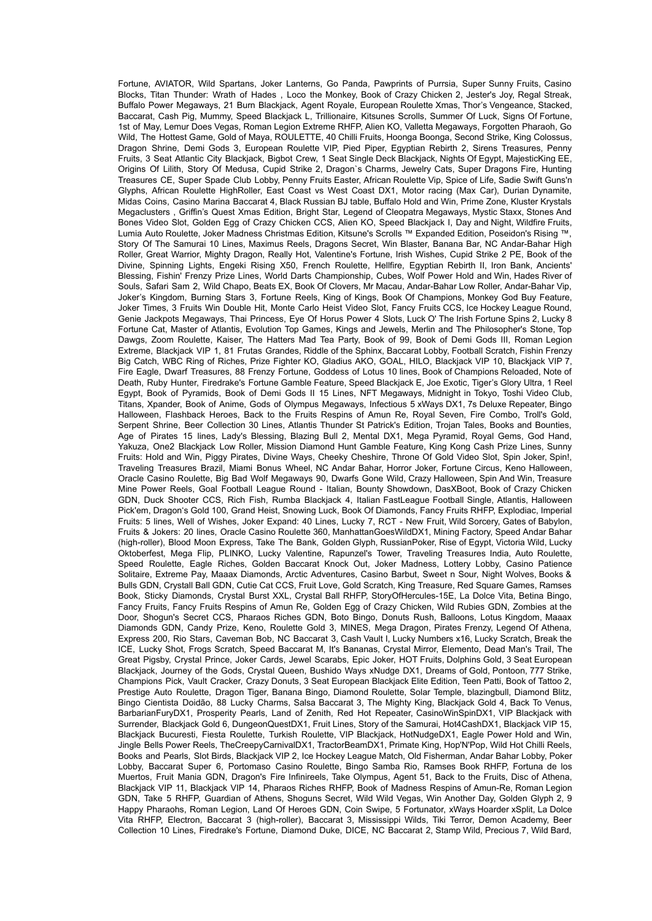Fortune, AVIATOR, Wild Spartans, Joker Lanterns, Go Panda, Pawprints of Purrsia, Super Sunny Fruits, Casino Blocks, Titan Thunder: Wrath of Hades , Loco the Monkey, Book of Crazy Chicken 2, Jester's Joy, Regal Streak, Buffalo Power Megaways, 21 Burn Blackjack, Agent Royale, European Roulette Xmas, Thor's Vengeance, Stacked, Baccarat, Cash Pig, Mummy, Speed Blackjack L, Trillionaire, Kitsunes Scrolls, Summer Of Luck, Signs Of Fortune, 1st of May, Lemur Does Vegas, Roman Legion Extreme RHFP, Alien KO, Valletta Megaways, Forgotten Pharaoh, Go Wild, The Hottest Game, Gold of Maya, ROULETTE, 40 Chilli Fruits, Hoonga Boonga, Second Strike, King Colossus, Dragon Shrine, Demi Gods 3, European Roulette VIP, Pied Piper, Egyptian Rebirth 2, Sirens Treasures, Penny Fruits, 3 Seat Atlantic City Blackjack, Bigbot Crew, 1 Seat Single Deck Blackjack, Nights Of Egypt, MajesticKing EE, Origins Of Lilith, Story Of Medusa, Cupid Strike 2, Dragon`s Charms, Jewelry Cats, Super Dragons Fire, Hunting Treasures CE, Super Spade Club Lobby, Penny Fruits Easter, African Roulette Vip, Spice of Life, Sadie Swift Guns'n Glyphs, African Roulette HighRoller, East Coast vs West Coast DX1, Motor racing (Max Car), Durian Dynamite, Midas Coins, Casino Marina Baccarat 4, Black Russian BJ table, Buffalo Hold and Win, Prime Zone, Kluster Krystals Megaclusters , Griffin's Quest Xmas Edition, Bright Star, Legend of Cleopatra Megaways, Mystic Staxx, Stones And Bones Video Slot, Golden Egg of Crazy Chicken CCS, Alien KO, Speed Blackjack I, Day and Night, Wildfire Fruits, Lumia Auto Roulette, Joker Madness Christmas Edition, Kitsune's Scrolls ™ Expanded Edition, Poseidon's Rising ™, Story Of The Samurai 10 Lines, Maximus Reels, Dragons Secret, Win Blaster, Banana Bar, NC Andar-Bahar High Roller, Great Warrior, Mighty Dragon, Really Hot, Valentine's Fortune, Irish Wishes, Cupid Strike 2 PE, Book of the Divine, Spinning Lights, Engeki Rising X50, French Roulette, Hellfire, Egyptian Rebirth II, Iron Bank, Ancients' Blessing, Fishin' Frenzy Prize Lines, World Darts Championship, Cubes, Wolf Power Hold and Win, Hades River of Souls, Safari Sam 2, Wild Chapo, Beats EX, Book Of Clovers, Mr Macau, Andar-Bahar Low Roller, Andar-Bahar Vip, Joker's Kingdom, Burning Stars 3, Fortune Reels, King of Kings, Book Of Champions, Monkey God Buy Feature, Joker Times, 3 Fruits Win Double Hit, Monte Carlo Heist Video Slot, Fancy Fruits CCS, Ice Hockey League Round, Genie Jackpots Megaways, Thai Princess, Eye Of Horus Power 4 Slots, Luck O' The Irish Fortune Spins 2, Lucky 8 Fortune Cat, Master of Atlantis, Evolution Top Games, Kings and Jewels, Merlin and The Philosopher's Stone, Top Dawgs, Zoom Roulette, Kaiser, The Hatters Mad Tea Party, Book of 99, Book of Demi Gods III, Roman Legion Extreme, Blackjack VIP 1, 81 Frutas Grandes, Riddle of the Sphinx, Baccarat Lobby, Football Scratch, Fishin Frenzy Big Catch, WBC Ring of Riches, Prize Fighter KO, Gladius AKO, GOAL, HILO, Blackjack VIP 10, Blackjack VIP 7, Fire Eagle, Dwarf Treasures, 88 Frenzy Fortune, Goddess of Lotus 10 lines, Book of Champions Reloaded, Note of Death, Ruby Hunter, Firedrake's Fortune Gamble Feature, Speed Blackjack E, Joe Exotic, Tiger's Glory Ultra, 1 Reel Egypt, Book of Pyramids, Book of Demi Gods II 15 Lines, NFT Megaways, Midnight in Tokyo, Toshi Video Club, Titans, Xpander, Book of Anime, Gods of Olympus Megaways, Infectious 5 xWays DX1, 7s Deluxe Repeater, Bingo Halloween, Flashback Heroes, Back to the Fruits Respins of Amun Re, Royal Seven, Fire Combo, Troll's Gold, Serpent Shrine, Beer Collection 30 Lines, Atlantis Thunder St Patrick's Edition, Trojan Tales, Books and Bounties, Age of Pirates 15 lines, Lady's Blessing, Blazing Bull 2, Mental DX1, Mega Pyramid, Royal Gems, God Hand, Yakuza, One2 Blackjack Low Roller, Mission Diamond Hunt Gamble Feature, King Kong Cash Prize Lines, Sunny Fruits: Hold and Win, Piggy Pirates, Divine Ways, Cheeky Cheshire, Throne Of Gold Video Slot, Spin Joker, Spin!, Traveling Treasures Brazil, Miami Bonus Wheel, NC Andar Bahar, Horror Joker, Fortune Circus, Keno Halloween, Oracle Casino Roulette, Big Bad Wolf Megaways 90, Dwarfs Gone Wild, Crazy Halloween, Spin And Win, Treasure Mine Power Reels, Goal Football League Round - Italian, Bounty Showdown, DasXBoot, Book of Crazy Chicken GDN, Duck Shooter CCS, Rich Fish, Rumba Blackjack 4, Italian FastLeague Football Single, Atlantis, Halloween Pick'em, Dragon's Gold 100, Grand Heist, Snowing Luck, Book Of Diamonds, Fancy Fruits RHFP, Explodiac, Imperial Fruits: 5 lines, Well of Wishes, Joker Expand: 40 Lines, Lucky 7, RCT - New Fruit, Wild Sorcery, Gates of Babylon, Fruits & Jokers: 20 lines, Oracle Casino Roulette 360, ManhattanGoesWildDX1, Mining Factory, Speed Andar Bahar (high-roller), Blood Moon Express, Take The Bank, Golden Glyph, RussianPoker, Rise of Egypt, Victoria Wild, Lucky Oktoberfest, Mega Flip, PLINKO, Lucky Valentine, Rapunzel's Tower, Traveling Treasures India, Auto Roulette, Speed Roulette, Eagle Riches, Golden Baccarat Knock Out, Joker Madness, Lottery Lobby, Casino Patience Solitaire, Extreme Pay, Maaax Diamonds, Arctic Adventures, Casino Barbut, Sweet n Sour, Night Wolves, Books & Bulls GDN, Crystall Ball GDN, Cutie Cat CCS, Fruit Love, Gold Scratch, King Treasure, Red Square Games, Ramses Book, Sticky Diamonds, Crystal Burst XXL, Crystal Ball RHFP, StoryOfHercules-15E, La Dolce Vita, Betina Bingo, Fancy Fruits, Fancy Fruits Respins of Amun Re, Golden Egg of Crazy Chicken, Wild Rubies GDN, Zombies at the Door, Shogun's Secret CCS, Pharaos Riches GDN, Boto Bingo, Donuts Rush, Balloons, Lotus Kingdom, Maaax Diamonds GDN, Candy Prize, Keno, Roulette Gold 3, MINES, Mega Dragon, Pirates Frenzy, Legend Of Athena, Express 200, Rio Stars, Caveman Bob, NC Baccarat 3, Cash Vault I, Lucky Numbers x16, Lucky Scratch, Break the ICE, Lucky Shot, Frogs Scratch, Speed Baccarat M, It's Bananas, Crystal Mirror, Elemento, Dead Man's Trail, The Great Pigsby, Crystal Prince, Joker Cards, Jewel Scarabs, Epic Joker, HOT Fruits, Dolphins Gold, 3 Seat European Blackjack, Journey of the Gods, Crystal Queen, Bushido Ways xNudge DX1, Dreams of Gold, Pontoon, 777 Strike, Champions Pick, Vault Cracker, Crazy Donuts, 3 Seat European Blackjack Elite Edition, Teen Patti, Book of Tattoo 2, Prestige Auto Roulette, Dragon Tiger, Banana Bingo, Diamond Roulette, Solar Temple, blazingbull, Diamond Blitz, Bingo Cientista Doidão, 88 Lucky Charms, Salsa Baccarat 3, The Mighty King, Blackjack Gold 4, Back To Venus, BarbarianFuryDX1, Prosperity Pearls, Land of Zenith, Red Hot Repeater, CasinoWinSpinDX1, VIP Blackjack with Surrender, Blackjack Gold 6, DungeonQuestDX1, Fruit Lines, Story of the Samurai, Hot4CashDX1, Blackjack VIP 15, Blackjack Bucuresti, Fiesta Roulette, Turkish Roulette, VIP Blackjack, HotNudgeDX1, Eagle Power Hold and Win, Jingle Bells Power Reels, TheCreepyCarnivalDX1, TractorBeamDX1, Primate King, Hop'N'Pop, Wild Hot Chilli Reels, Books and Pearls, Slot Birds, Blackjack VIP 2, Ice Hockey League Match, Old Fisherman, Andar Bahar Lobby, Poker Lobby, Baccarat Super 6, Portomaso Casino Roulette, Bingo Samba Rio, Ramses Book RHFP, Fortuna de los Muertos, Fruit Mania GDN, Dragon's Fire Infinireels, Take Olympus, Agent 51, Back to the Fruits, Disc of Athena, Blackjack VIP 11, Blackjack VIP 14, Pharaos Riches RHFP, Book of Madness Respins of Amun-Re, Roman Legion GDN, Take 5 RHFP, Guardian of Athens, Shoguns Secret, Wild Wild Vegas, Win Another Day, Golden Glyph 2, 9 Happy Pharaohs, Roman Legion, Land Of Heroes GDN, Coin Swipe, 5 Fortunator, xWays Hoarder xSplit, La Dolce Vita RHFP, Electron, Baccarat 3 (high-roller), Baccarat 3, Mississippi Wilds, Tiki Terror, Demon Academy, Beer Collection 10 Lines, Firedrake's Fortune, Diamond Duke, DICE, NC Baccarat 2, Stamp Wild, Precious 7, Wild Bard,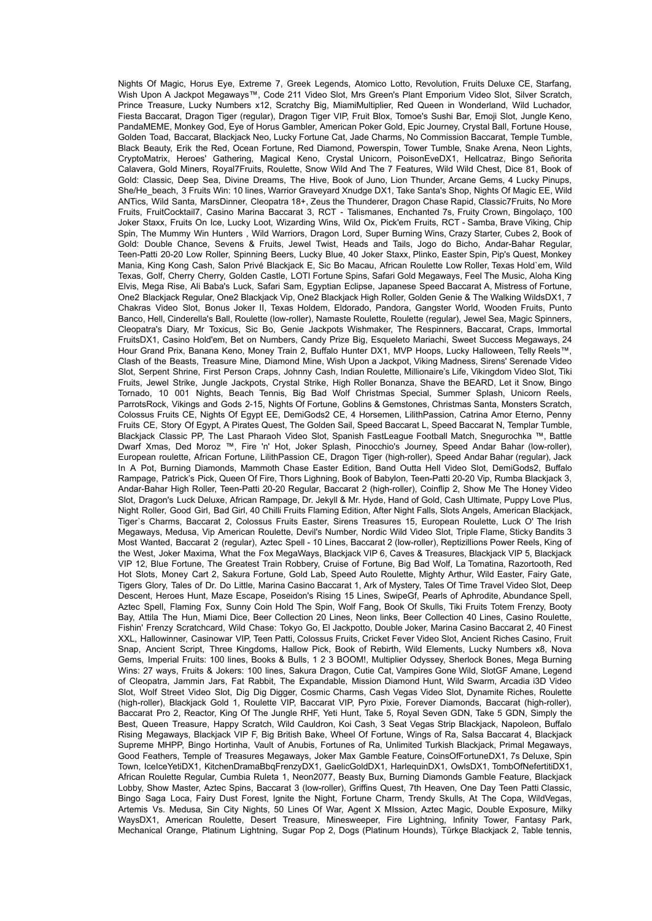Nights Of Magic, Horus Eye, Extreme 7, Greek Legends, Atomico Lotto, Revolution, Fruits Deluxe CE, Starfang, Wish Upon A Jackpot Megaways™, Code 211 Video Slot, Mrs Green's Plant Emporium Video Slot, Silver Scratch, Prince Treasure, Lucky Numbers x12, Scratchy Big, MiamiMultiplier, Red Queen in Wonderland, Wild Luchador, Fiesta Baccarat, Dragon Tiger (regular), Dragon Tiger VIP, Fruit Blox, Tomoe's Sushi Bar, Emoji Slot, Jungle Keno, PandaMEME, Monkey God, Eye of Horus Gambler, American Poker Gold, Epic Journey, Crystal Ball, Fortune House, Golden Toad, Baccarat, Blackjack Neo, Lucky Fortune Cat, Jade Charms, No Commission Baccarat, Temple Tumble, Black Beauty, Erik the Red, Ocean Fortune, Red Diamond, Powerspin, Tower Tumble, Snake Arena, Neon Lights, CryptoMatrix, Heroes' Gathering, Magical Keno, Crystal Unicorn, PoisonEveDX1, Hellcatraz, Bingo Señorita Calavera, Gold Miners, Royal7Fruits, Roulette, Snow Wild And The 7 Features, Wild Wild Chest, Dice 81, Book of Gold: Classic, Deep Sea, Divine Dreams, The Hive, Book of Juno, Lion Thunder, Arcane Gems, 4 Lucky Pinups, She/He\_beach, 3 Fruits Win: 10 lines, Warrior Graveyard Xnudge DX1, Take Santa's Shop, Nights Of Magic EE, Wild ANTics, Wild Santa, MarsDinner, Cleopatra 18+, Zeus the Thunderer, Dragon Chase Rapid, Classic7Fruits, No More Fruits, FruitCocktail7, Casino Marina Baccarat 3, RCT - Talismanes, Enchanted 7s, Fruity Crown, Bingolaço, 100 Joker Staxx, Fruits On Ice, Lucky Loot, Wizarding Wins, Wild Ox, Pick'em Fruits, RCT - Samba, Brave Viking, Chip Spin, The Mummy Win Hunters , Wild Warriors, Dragon Lord, Super Burning Wins, Crazy Starter, Cubes 2, Book of Gold: Double Chance, Sevens & Fruits, Jewel Twist, Heads and Tails, Jogo do Bicho, Andar-Bahar Regular, Teen-Patti 20-20 Low Roller, Spinning Beers, Lucky Blue, 40 Joker Staxx, Plinko, Easter Spin, Pip's Quest, Monkey Mania, King Kong Cash, Salon Privé Blackjack E, Sic Bo Macau, African Roulette Low Roller, Texas Hold`em, Wild Texas, Golf, Cherry Cherry, Golden Castle, LOTI Fortune Spins, Safari Gold Megaways, Feel The Music, Aloha King Elvis, Mega Rise, Ali Baba's Luck, Safari Sam, Egyptian Eclipse, Japanese Speed Baccarat A, Mistress of Fortune, One2 Blackjack Regular, One2 Blackjack Vip, One2 Blackjack High Roller, Golden Genie & The Walking WildsDX1, 7 Chakras Video Slot, Bonus Joker II, Texas Holdem, Eldorado, Pandora, Gangster World, Wooden Fruits, Punto Banco, Hell, Cinderella's Ball, Roulette (low-roller), Namaste Roulette, Roulette (regular), Jewel Sea, Magic Spinners, Cleopatra's Diary, Mr Toxicus, Sic Bo, Genie Jackpots Wishmaker, The Respinners, Baccarat, Craps, Immortal FruitsDX1, Casino Hold'em, Bet on Numbers, Candy Prize Big, Esqueleto Mariachi, Sweet Success Megaways, 24 Hour Grand Prix, Banana Keno, Money Train 2, Buffalo Hunter DX1, MVP Hoops, Lucky Halloween, Telly Reels™, Clash of the Beasts, Treasure Mine, Diamond Mine, Wish Upon a Jackpot, Viking Madness, Sirens' Serenade Video Slot, Serpent Shrine, First Person Craps, Johnny Cash, Indian Roulette, Millionaire's Life, Vikingdom Video Slot, Tiki Fruits, Jewel Strike, Jungle Jackpots, Crystal Strike, High Roller Bonanza, Shave the BEARD, Let it Snow, Bingo Tornado, 10 001 Nights, Beach Tennis, Big Bad Wolf Christmas Special, Summer Splash, Unicorn Reels, ParrotsRock, Vikings and Gods 2-15, Nights Of Fortune, Goblins & Gemstones, Christmas Santa, Monsters Scratch, Colossus Fruits CE, Nights Of Egypt EE, DemiGods2 CE, 4 Horsemen, LilithPassion, Catrina Amor Eterno, Penny Fruits CE, Story Of Egypt, A Pirates Quest, The Golden Sail, Speed Baccarat L, Speed Baccarat N, Templar Tumble, Blackjack Classic PP, The Last Pharaoh Video Slot, Spanish FastLeague Football Match, Snegurochka ™, Battle Dwarf Xmas, Ded Moroz ™, Fire 'n' Hot, Joker Splash, Pinocchio's Journey, Speed Andar Bahar (low-roller), European roulette, African Fortune, LilithPassion CE, Dragon Tiger (high-roller), Speed Andar Bahar (regular), Jack In A Pot, Burning Diamonds, Mammoth Chase Easter Edition, Band Outta Hell Video Slot, DemiGods2, Buffalo Rampage, Patrick's Pick, Queen Of Fire, Thors Lighning, Book of Babylon, Teen-Patti 20-20 Vip, Rumba Blackjack 3, Andar-Bahar High Roller, Teen-Patti 20-20 Regular, Baccarat 2 (high-roller), Coinflip 2, Show Me The Honey Video Slot, Dragon's Luck Deluxe, African Rampage, Dr. Jekyll & Mr. Hyde, Hand of Gold, Cash Ultimate, Puppy Love Plus, Night Roller, Good Girl, Bad Girl, 40 Chilli Fruits Flaming Edition, After Night Falls, Slots Angels, American Blackjack, Tiger`s Charms, Baccarat 2, Colossus Fruits Easter, Sirens Treasures 15, European Roulette, Luck O' The Irish Megaways, Medusa, Vip American Roulette, Devil's Number, Nordic Wild Video Slot, Triple Flame, Sticky Bandits 3 Most Wanted, Baccarat 2 (regular), Aztec Spell - 10 Lines, Baccarat 2 (low-roller), Reptizillions Power Reels, King of the West, Joker Maxima, What the Fox MegaWays, Blackjack VIP 6, Caves & Treasures, Blackjack VIP 5, Blackjack VIP 12, Blue Fortune, The Greatest Train Robbery, Cruise of Fortune, Big Bad Wolf, La Tomatina, Razortooth, Red Hot Slots, Money Cart 2, Sakura Fortune, Gold Lab, Speed Auto Roulette, Mighty Arthur, Wild Easter, Fairy Gate, Tigers Glory, Tales of Dr. Do Little, Marina Casino Baccarat 1, Ark of Mystery, Tales Of Time Travel Video Slot, Deep Descent, Heroes Hunt, Maze Escape, Poseidon's Rising 15 Lines, SwipeGf, Pearls of Aphrodite, Abundance Spell, Aztec Spell, Flaming Fox, Sunny Coin Hold The Spin, Wolf Fang, Book Of Skulls, Tiki Fruits Totem Frenzy, Booty Bay, Attila The Hun, Miami Dice, Beer Collection 20 Lines, Neon links, Beer Collection 40 Lines, Casino Roulette, Fishin' Frenzy Scratchcard, Wild Chase: Tokyo Go, El Jackpotto, Double Joker, Marina Casino Baccarat 2, 40 Finest XXL, Hallowinner, Casinowar VIP, Teen Patti, Colossus Fruits, Cricket Fever Video Slot, Ancient Riches Casino, Fruit Snap, Ancient Script, Three Kingdoms, Hallow Pick, Book of Rebirth, Wild Elements, Lucky Numbers x8, Nova Gems, Imperial Fruits: 100 lines, Books & Bulls, 1 2 3 BOOM!, Multiplier Odyssey, Sherlock Bones, Mega Burning Wins: 27 ways, Fruits & Jokers: 100 lines, Sakura Dragon, Cutie Cat, Vampires Gone Wild, SlotGF Amane, Legend of Cleopatra, Jammin Jars, Fat Rabbit, The Expandable, Mission Diamond Hunt, Wild Swarm, Arcadia i3D Video Slot, Wolf Street Video Slot, Dig Dig Digger, Cosmic Charms, Cash Vegas Video Slot, Dynamite Riches, Roulette (high-roller), Blackjack Gold 1, Roulette VIP, Baccarat VIP, Pyro Pixie, Forever Diamonds, Baccarat (high-roller), Baccarat Pro 2, Reactor, King Of The Jungle RHF, Yeti Hunt, Take 5, Royal Seven GDN, Take 5 GDN, Simply the Best, Queen Treasure, Happy Scratch, Wild Cauldron, Koi Cash, 3 Seat Vegas Strip Blackjack, Napoleon, Buffalo Rising Megaways, Blackjack VIP F, Big British Bake, Wheel Of Fortune, Wings of Ra, Salsa Baccarat 4, Blackjack Supreme MHPP, Bingo Hortinha, Vault of Anubis, Fortunes of Ra, Unlimited Turkish Blackjack, Primal Megaways, Good Feathers, Temple of Treasures Megaways, Joker Max Gamble Feature, CoinsOfFortuneDX1, 7s Deluxe, Spin Town, IceIceYetiDX1, KitchenDramaBbqFrenzyDX1, GaelicGoldDX1, HarlequinDX1, OwlsDX1, TombOfNefertitiDX1, African Roulette Regular, Cumbia Ruleta 1, Neon2077, Beasty Bux, Burning Diamonds Gamble Feature, Blackjack Lobby, Show Master, Aztec Spins, Baccarat 3 (low-roller), Griffins Quest, 7th Heaven, One Day Teen Patti Classic, Bingo Saga Loca, Fairy Dust Forest, Ignite the Night, Fortune Charm, Trendy Skulls, At The Copa, WildVegas, Artemis Vs. Medusa, Sin City Nights, 50 Lines Of War, Agent X MIssion, Aztec Magic, Double Exposure, Milky WaysDX1, American Roulette, Desert Treasure, Minesweeper, Fire Lightning, Infinity Tower, Fantasy Park, Mechanical Orange, Platinum Lightning, Sugar Pop 2, Dogs (Platinum Hounds), Türkçe Blackjack 2, Table tennis,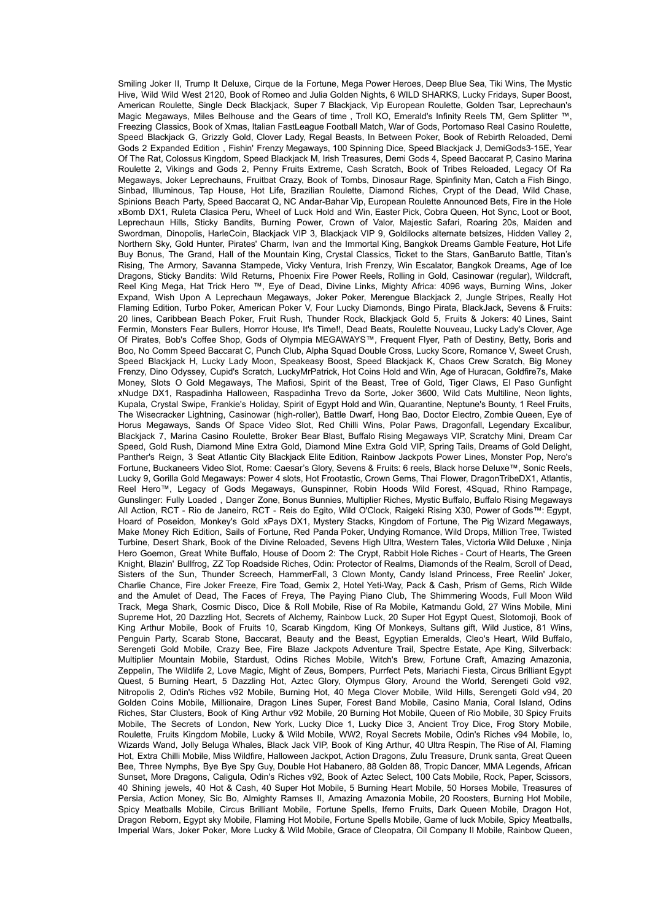Smiling Joker II, Trump It Deluxe, Cirque de la Fortune, Mega Power Heroes, Deep Blue Sea, Tiki Wins, The Mystic Hive, Wild Wild West 2120, Book of Romeo and Julia Golden Nights, 6 WILD SHARKS, Lucky Fridays, Super Boost, American Roulette, Single Deck Blackjack, Super 7 Blackjack, Vip European Roulette, Golden Tsar, Leprechaun's Magic Megaways, Miles Belhouse and the Gears of time , Troll KO, Emerald's Infinity Reels TM, Gem Splitter ™, Freezing Classics, Book of Xmas, Italian FastLeague Football Match, War of Gods, Portomaso Real Casino Roulette, Speed Blackjack G, Grizzly Gold, Clover Lady, Regal Beasts, In Between Poker, Book of Rebirth Reloaded, Demi Gods 2 Expanded Edition , Fishin' Frenzy Megaways, 100 Spinning Dice, Speed Blackjack J, DemiGods3-15E, Year Of The Rat, Colossus Kingdom, Speed Blackjack M, Irish Treasures, Demi Gods 4, Speed Baccarat P, Casino Marina Roulette 2, Vikings and Gods 2, Penny Fruits Extreme, Cash Scratch, Book of Tribes Reloaded, Legacy Of Ra Megaways, Joker Leprechauns, Fruitbat Crazy, Book of Tombs, Dinosaur Rage, Spinfinity Man, Catch a Fish Bingo, Sinbad, Illuminous, Tap House, Hot Life, Brazilian Roulette, Diamond Riches, Crypt of the Dead, Wild Chase, Spinions Beach Party, Speed Baccarat Q, NC Andar-Bahar Vip, European Roulette Announced Bets, Fire in the Hole xBomb DX1, Ruleta Clasica Peru, Wheel of Luck Hold and Win, Easter Pick, Cobra Queen, Hot Sync, Loot or Boot, Leprechaun Hills, Sticky Bandits, Burning Power, Crown of Valor, Majestic Safari, Roaring 20s, Maiden and Swordman, Dinopolis, HarleCoin, Blackjack VIP 3, Blackjack VIP 9, Goldilocks alternate betsizes, Hidden Valley 2, Northern Sky, Gold Hunter, Pirates' Charm, Ivan and the Immortal King, Bangkok Dreams Gamble Feature, Hot Life Buy Bonus, The Grand, Hall of the Mountain King, Crystal Classics, Ticket to the Stars, GanBaruto Battle, Titan's Rising, The Armory, Savanna Stampede, Vicky Ventura, Irish Frenzy, Win Escalator, Bangkok Dreams, Age of Ice Dragons, Sticky Bandits: Wild Returns, Phoenix Fire Power Reels, Rolling in Gold, Casinowar (regular), Wildcraft, Reel King Mega, Hat Trick Hero ™, Eye of Dead, Divine Links, Mighty Africa: 4096 ways, Burning Wins, Joker Expand, Wish Upon A Leprechaun Megaways, Joker Poker, Merengue Blackjack 2, Jungle Stripes, Really Hot Flaming Edition, Turbo Poker, American Poker V, Four Lucky Diamonds, Bingo Pirata, BlackJack, Sevens & Fruits: 20 lines, Caribbean Beach Poker, Fruit Rush, Thunder Rock, Blackjack Gold 5, Fruits & Jokers: 40 Lines, Saint Fermin, Monsters Fear Bullers, Horror House, It's Time!!, Dead Beats, Roulette Nouveau, Lucky Lady's Clover, Age Of Pirates, Bob's Coffee Shop, Gods of Olympia MEGAWAYS™, Frequent Flyer, Path of Destiny, Betty, Boris and Boo, No Comm Speed Baccarat C, Punch Club, Alpha Squad Double Cross, Lucky Score, Romance V, Sweet Crush, Speed Blackjack H, Lucky Lady Moon, Speakeasy Boost, Speed Blackjack K, Chaos Crew Scratch, Big Money Frenzy, Dino Odyssey, Cupid's Scratch, LuckyMrPatrick, Hot Coins Hold and Win, Age of Huracan, Goldfire7s, Make Money, Slots O Gold Megaways, The Mafiosi, Spirit of the Beast, Tree of Gold, Tiger Claws, El Paso Gunfight xNudge DX1, Raspadinha Halloween, Raspadinha Trevo da Sorte, Joker 3600, Wild Cats Multiline, Neon lights, Kupala, Crystal Swipe, Frankie's Holiday, Spirit of Egypt Hold and Win, Quarantine, Neptune's Bounty, 1 Reel Fruits, The Wisecracker Lightning, Casinowar (high-roller), Battle Dwarf, Hong Bao, Doctor Electro, Zombie Queen, Eye of Horus Megaways, Sands Of Space Video Slot, Red Chilli Wins, Polar Paws, Dragonfall, Legendary Excalibur, Blackjack 7, Marina Casino Roulette, Broker Bear Blast, Buffalo Rising Megaways VIP, Scratchy Mini, Dream Car Speed, Gold Rush, Diamond Mine Extra Gold, Diamond Mine Extra Gold VIP, Spring Tails, Dreams of Gold Delight, Panther's Reign, 3 Seat Atlantic City Blackjack Elite Edition, Rainbow Jackpots Power Lines, Monster Pop, Nero's Fortune, Buckaneers Video Slot, Rome: Caesar's Glory, Sevens & Fruits: 6 reels, Black horse Deluxe™, Sonic Reels, Lucky 9, Gorilla Gold Megaways: Power 4 slots, Hot Frootastic, Crown Gems, Thai Flower, DragonTribeDX1, Atlantis, Reel Hero™, Legacy of Gods Megaways, Gunspinner, Robin Hoods Wild Forest, 4Squad, Rhino Rampage, Gunslinger: Fully Loaded , Danger Zone, Bonus Bunnies, Multiplier Riches, Mystic Buffalo, Buffalo Rising Megaways All Action, RCT - Rio de Janeiro, RCT - Reis do Egito, Wild O'Clock, Raigeki Rising X30, Power of Gods™: Egypt, Hoard of Poseidon, Monkey's Gold xPays DX1, Mystery Stacks, Kingdom of Fortune, The Pig Wizard Megaways, Make Money Rich Edition, Sails of Fortune, Red Panda Poker, Undying Romance, Wild Drops, Million Tree, Twisted Turbine, Desert Shark, Book of the Divine Reloaded, Sevens High Ultra, Western Tales, Victoria Wild Deluxe , Ninja Hero Goemon, Great White Buffalo, House of Doom 2: The Crypt, Rabbit Hole Riches - Court of Hearts, The Green Knight, Blazin' Bullfrog, ZZ Top Roadside Riches, Odin: Protector of Realms, Diamonds of the Realm, Scroll of Dead, Sisters of the Sun, Thunder Screech, HammerFall, 3 Clown Monty, Candy Island Princess, Free Reelin' Joker, Charlie Chance, Fire Joker Freeze, Fire Toad, Gemix 2, Hotel Yeti-Way, Pack & Cash, Prism of Gems, Rich Wilde and the Amulet of Dead, The Faces of Freya, The Paying Piano Club, The Shimmering Woods, Full Moon Wild Track, Mega Shark, Cosmic Disco, Dice & Roll Mobile, Rise of Ra Mobile, Katmandu Gold, 27 Wins Mobile, Mini Supreme Hot, 20 Dazzling Hot, Secrets of Alchemy, Rainbow Luck, 20 Super Hot Egypt Quest, Slotomoji, Book of King Arthur Mobile, Book of Fruits 10, Scarab Kingdom, King Of Monkeys, Sultans gift, Wild Justice, 81 Wins, Penguin Party, Scarab Stone, Baccarat, Beauty and the Beast, Egyptian Emeralds, Cleo's Heart, Wild Buffalo, Serengeti Gold Mobile, Crazy Bee, Fire Blaze Jackpots Adventure Trail, Spectre Estate, Ape King, Silverback: Multiplier Mountain Mobile, Stardust, Odins Riches Mobile, Witch's Brew, Fortune Craft, Amazing Amazonia, Zeppelin, The Wildlife 2, Love Magic, Might of Zeus, Bompers, Purrfect Pets, Mariachi Fiesta, Circus Brilliant Egypt Quest, 5 Burning Heart, 5 Dazzling Hot, Aztec Glory, Olympus Glory, Around the World, Serengeti Gold v92, Nitropolis 2, Odin's Riches v92 Mobile, Burning Hot, 40 Mega Clover Mobile, Wild Hills, Serengeti Gold v94, 20 Golden Coins Mobile, Millionaire, Dragon Lines Super, Forest Band Mobile, Casino Mania, Coral Island, Odins Riches, Star Clusters, Book of King Arthur v92 Mobile, 20 Burning Hot Mobile, Queen of Rio Mobile, 30 Spicy Fruits Mobile, The Secrets of London, New York, Lucky Dice 1, Lucky Dice 3, Ancient Troy Dice, Frog Story Mobile, Roulette, Fruits Kingdom Mobile, Lucky & Wild Mobile, WW2, Royal Secrets Mobile, Odin's Riches v94 Mobile, Io, Wizards Wand, Jolly Beluga Whales, Black Jack VIP, Book of King Arthur, 40 Ultra Respin, The Rise of AI, Flaming Hot, Extra Chilli Mobile, Miss Wildfire, Halloween Jackpot, Action Dragons, Zulu Treasure, Drunk santa, Great Queen Bee, Three Nymphs, Bye Bye Spy Guy, Double Hot Habanero, 88 Golden 88, Tropic Dancer, MMA Legends, African Sunset, More Dragons, Caligula, Odin's Riches v92, Book of Aztec Select, 100 Cats Mobile, Rock, Paper, Scissors, 40 Shining jewels, 40 Hot & Cash, 40 Super Hot Mobile, 5 Burning Heart Mobile, 50 Horses Mobile, Treasures of Persia, Action Money, Sic Bo, Almighty Ramses II, Amazing Amazonia Mobile, 20 Roosters, Burning Hot Mobile, Spicy Meatballs Mobile, Circus Brilliant Mobile, Fortune Spells, Iferno Fruits, Dark Queen Mobile, Dragon Hot, Dragon Reborn, Egypt sky Mobile, Flaming Hot Mobile, Fortune Spells Mobile, Game of luck Mobile, Spicy Meatballs, Imperial Wars, Joker Poker, More Lucky & Wild Mobile, Grace of Cleopatra, Oil Company II Mobile, Rainbow Queen,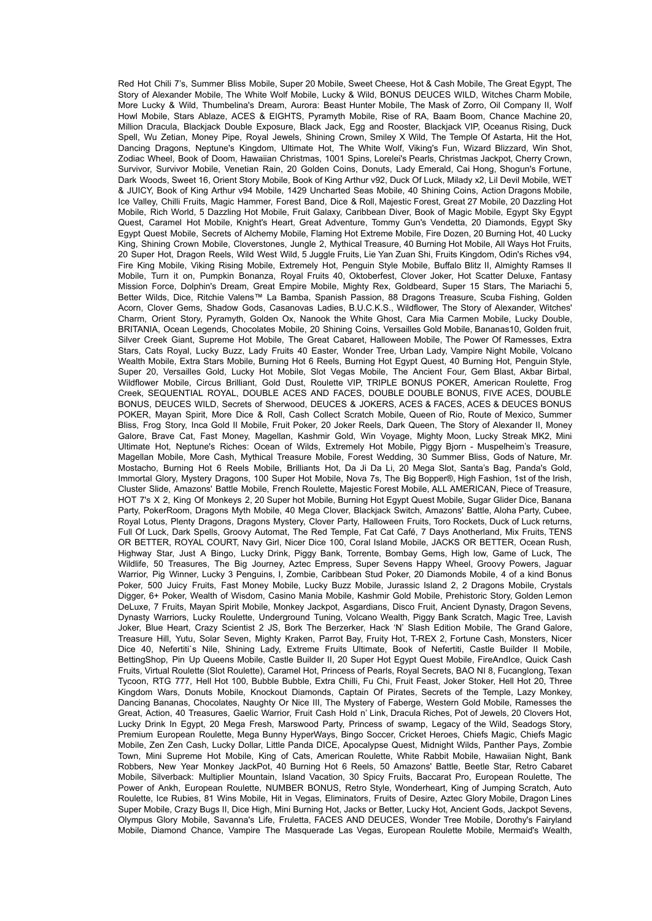Red Hot Chili 7's, Summer Bliss Mobile, Super 20 Mobile, Sweet Cheese, Hot & Cash Mobile, The Great Foynt, The Story of Alexander Mobile, The White Wolf Mobile, Lucky & Wild, BONUS DEUCES WILD, Witches Charm Mobile, More Lucky & Wild, Thumbelina's Dream, Aurora: Beast Hunter Mobile, The Mask of Zorro, Oil Company II, Wolf Howl Mobile, Stars Ablaze, ACES & EIGHTS, Pyramyth Mobile, Rise of RA, Baam Boom, Chance Machine 20, Million Dracula, Blackjack Double Exposure, Black Jack, Egg and Rooster, Blackjack VIP, Oceanus Rising, Duck Spell, Wu Zetian, Money Pipe, Royal Jewels, Shining Crown, Smiley X Wild, The Temple Of Astarta, Hit the Hot, Dancing Dragons, Neptune's Kingdom, Ultimate Hot, The White Wolf, Viking's Fun, Wizard Blizzard, Win Shot, Zodiac Wheel, Book of Doom, Hawaiian Christmas, 1001 Spins, Lorelei's Pearls, Christmas Jackpot, Cherry Crown, Survivor, Survivor Mobile, Venetian Rain, 20 Golden Coins, Donuts, Lady Emerald, Cai Hong, Shogun's Fortune, Dark Woods, Sweet 16, Orient Story Mobile, Book of King Arthur v92, Duck Of Luck, Milady x2, Lil Devil Mobile, WET & JUICY, Book of King Arthur v94 Mobile, 1429 Uncharted Seas Mobile, 40 Shining Coins, Action Dragons Mobile, Ice Valley, Chilli Fruits, Magic Hammer, Forest Band, Dice & Roll, Majestic Forest, Great 27 Mobile, 20 Dazzling Hot Mobile, Rich World, 5 Dazzling Hot Mobile, Fruit Galaxy, Caribbean Diver, Book of Magic Mobile, Egypt Sky Egypt Quest, Caramel Hot Mobile, Knight's Heart, Great Adventure, Tommy Gun's Vendetta, 20 Diamonds, Egypt Sky Egypt Quest Mobile, Secrets of Alchemy Mobile, Flaming Hot Extreme Mobile, Fire Dozen, 20 Burning Hot, 40 Lucky King, Shining Crown Mobile, Cloverstones, Jungle 2, Mythical Treasure, 40 Burning Hot Mobile, All Ways Hot Fruits, 20 Super Hot, Dragon Reels, Wild West Wild, 5 Juggle Fruits, Lie Yan Zuan Shi, Fruits Kingdom, Odin's Riches v94, Fire King Mobile, Viking Rising Mobile, Extremely Hot, Penguin Style Mobile, Buffalo Blitz II, Almighty Ramses II Mobile, Turn it on, Pumpkin Bonanza, Royal Fruits 40, Oktoberfest, Clover Joker, Hot Scatter Deluxe, Fantasy Mission Force, Dolphin's Dream, Great Empire Mobile, Mighty Rex, Goldbeard, Super 15 Stars, The Mariachi 5, Better Wilds, Dice, Ritchie Valens™ La Bamba, Spanish Passion, 88 Dragons Treasure, Scuba Fishing, Golden Acorn, Clover Gems, Shadow Gods, Casanovas Ladies, B.U.C.K.S., Wildflower, The Story of Alexander, Witches' Charm, Orient Story, Pyramyth, Golden Ox, Nanook the White Ghost, Cara Mia Carmen Mobile, Lucky Double, BRITANIA, Ocean Legends, Chocolates Mobile, 20 Shining Coins, Versailles Gold Mobile, Bananas10, Golden fruit, Silver Creek Giant, Supreme Hot Mobile, The Great Cabaret, Halloween Mobile, The Power Of Ramesses, Extra Stars, Cats Royal, Lucky Buzz, Lady Fruits 40 Easter, Wonder Tree, Urban Lady, Vampire Night Mobile, Volcano Wealth Mobile, Extra Stars Mobile, Burning Hot 6 Reels, Burning Hot Egypt Quest, 40 Burning Hot, Penguin Style, Super 20, Versailles Gold, Lucky Hot Mobile, Slot Vegas Mobile, The Ancient Four, Gem Blast, Akbar Birbal, Wildflower Mobile, Circus Brilliant, Gold Dust, Roulette VIP, TRIPLE BONUS POKER, American Roulette, Frog Creek, SEQUENTIAL ROYAL, DOUBLE ACES AND FACES, DOUBLE DOUBLE BONUS, FIVE ACES, DOUBLE BONUS, DEUCES WILD, Secrets of Sherwood, DEUCES & JOKERS, ACES & FACES, ACES & DEUCES BONUS POKER, Mayan Spirit, More Dice & Roll, Cash Collect Scratch Mobile, Queen of Rio, Route of Mexico, Summer Bliss, Frog Story, Inca Gold II Mobile, Fruit Poker, 20 Joker Reels, Dark Queen, The Story of Alexander II, Money Galore, Brave Cat, Fast Money, Magellan, Kashmir Gold, Win Voyage, Mighty Moon, Lucky Streak MK2, Mini Ultimate Hot, Neptune's Riches: Ocean of Wilds, Extremely Hot Mobile, Piggy Bjorn - Muspelheim's Treasure, Magellan Mobile, More Cash, Mythical Treasure Mobile, Forest Wedding, 30 Summer Bliss, Gods of Nature, Mr. Mostacho, Burning Hot 6 Reels Mobile, Brilliants Hot, Da Ji Da Li, 20 Mega Slot, Santa's Bag, Panda's Gold, Immortal Glory, Mystery Dragons, 100 Super Hot Mobile, Nova 7s, The Big Bopper®, High Fashion, 1st of the Irish, Cluster Slide, Amazons' Battle Mobile, French Roulette, Majestic Forest Mobile, ALL AMERICAN, Piece of Treasure, HOT 7's X 2, King Of Monkeys 2, 20 Super hot Mobile, Burning Hot Egypt Quest Mobile, Sugar Glider Dice, Banana Party, PokerRoom, Dragons Myth Mobile, 40 Mega Clover, Blackjack Switch, Amazons' Battle, Aloha Party, Cubee, Royal Lotus, Plenty Dragons, Dragons Mystery, Clover Party, Halloween Fruits, Toro Rockets, Duck of Luck returns, Full Of Luck, Dark Spells, Groovy Automat, The Red Temple, Fat Cat Café, 7 Days Anotherland, Mix Fruits, TENS OR BETTER, ROYAL COURT, Navy Girl, Nicer Dice 100, Coral Island Mobile, JACKS OR BETTER, Ocean Rush, Highway Star, Just A Bingo, Lucky Drink, Piggy Bank, Torrente, Bombay Gems, High low, Game of Luck, The Wildlife, 50 Treasures, The Big Journey, Aztec Empress, Super Sevens Happy Wheel, Groovy Powers, Jaguar Warrior, Pig Winner, Lucky 3 Penguins, I, Zombie, Caribbean Stud Poker, 20 Diamonds Mobile, 4 of a kind Bonus Poker, 500 Juicy Fruits, Fast Money Mobile, Lucky Buzz Mobile, Jurassic Island 2, 2 Dragons Mobile, Crystals Digger, 6+ Poker, Wealth of Wisdom, Casino Mania Mobile, Kashmir Gold Mobile, Prehistoric Story, Golden Lemon DeLuxe, 7 Fruits, Mayan Spirit Mobile, Monkey Jackpot, Asgardians, Disco Fruit, Ancient Dynasty, Dragon Sevens, Dynasty Warriors, Lucky Roulette, Underground Tuning, Volcano Wealth, Piggy Bank Scratch, Magic Tree, Lavish Joker, Blue Heart, Crazy Scientist 2 JS, Bork The Berzerker, Hack 'N' Slash Edition Mobile, The Grand Galore, Treasure Hill, Yutu, Solar Seven, Mighty Kraken, Parrot Bay, Fruity Hot, T-REX 2, Fortune Cash, Monsters, Nicer Dice 40, Nefertiti`s Nile, Shining Lady, Extreme Fruits Ultimate, Book of Nefertiti, Castle Builder II Mobile, BettingShop, Pin Up Queens Mobile, Castle Builder II, 20 Super Hot Egypt Quest Mobile, FireAndIce, Quick Cash Fruits, Virtual Roulette (Slot Roulette), Caramel Hot, Princess of Pearls, Royal Secrets, BAO NI 8, Fucanglong, Texan Tycoon, RTG 777, Hell Hot 100, Bubble Bubble, Extra Chilli, Fu Chi, Fruit Feast, Joker Stoker, Hell Hot 20, Three Kingdom Wars, Donuts Mobile, Knockout Diamonds, Captain Of Pirates, Secrets of the Temple, Lazy Monkey, Dancing Bananas, Chocolates, Naughty Or Nice III, The Mystery of Faberge, Western Gold Mobile, Ramesses the Great, Action, 40 Treasures, Gaelic Warrior, Fruit Cash Hold n' Link, Dracula Riches, Pot of Jewels, 20 Clovers Hot, Lucky Drink In Egypt, 20 Mega Fresh, Marswood Party, Princess of swamp, Legacy of the Wild, Seadogs Story, Premium European Roulette, Mega Bunny HyperWays, Bingo Soccer, Cricket Heroes, Chiefs Magic, Chiefs Magic Mobile, Zen Zen Cash, Lucky Dollar, Little Panda DICE, Apocalypse Quest, Midnight Wilds, Panther Pays, Zombie Town, Mini Supreme Hot Mobile, King of Cats, American Roulette, White Rabbit Mobile, Hawaiian Night, Bank Robbers, New Year Monkey JackPot, 40 Burning Hot 6 Reels, 50 Amazons' Battle, Beetle Star, Retro Cabaret Mobile, Silverback: Multiplier Mountain, Island Vacation, 30 Spicy Fruits, Baccarat Pro, European Roulette, The Power of Ankh, European Roulette, NUMBER BONUS, Retro Style, Wonderheart, King of Jumping Scratch, Auto Roulette, Ice Rubies, 81 Wins Mobile, Hit in Vegas, Eliminators, Fruits of Desire, Aztec Glory Mobile, Dragon Lines Super Mobile, Crazy Bugs II, Dice High, Mini Burning Hot, Jacks or Better, Lucky Hot, Ancient Gods, Jackpot Sevens, Olympus Glory Mobile, Savanna's Life, Fruletta, FACES AND DEUCES, Wonder Tree Mobile, Dorothy's Fairyland Mobile, Diamond Chance, Vampire The Masquerade Las Vegas, European Roulette Mobile, Mermaid's Wealth,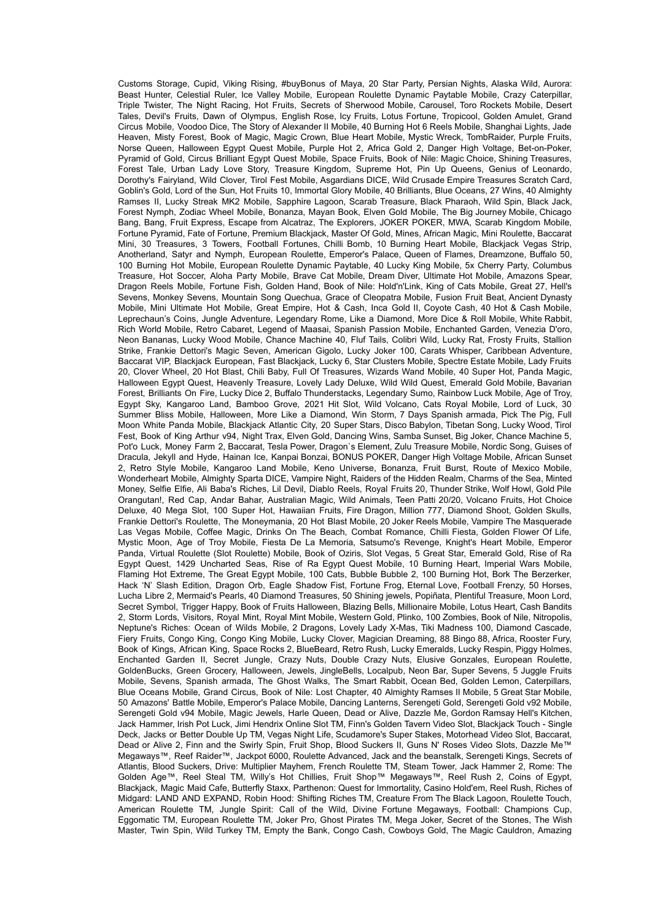Customs Storage, Cupid, Viking Rising, #buyBonus of Maya, 20 Star Party, Persian Nights, Alaska Wild, Aurora: Beast Hunter, Celestial Ruler, Ice Valley Mobile, European Roulette Dynamic Paytable Mobile, Crazy Caterpillar, Triple Twister, The Night Racing, Hot Fruits, Secrets of Sherwood Mobile, Carousel, Toro Rockets Mobile, Desert Tales, Devil's Fruits, Dawn of Olympus, English Rose, Icy Fruits, Lotus Fortune, Tropicool, Golden Amulet, Grand Circus Mobile, Voodoo Dice, The Story of Alexander II Mobile, 40 Burning Hot 6 Reels Mobile, Shanghai Lights, Jade Heaven, Misty Forest, Book of Magic, Magic Crown, Blue Heart Mobile, Mystic Wreck, TombRaider, Purple Fruits, Norse Queen, Halloween Egypt Quest Mobile, Purple Hot 2, Africa Gold 2, Danger High Voltage, Bet-on-Poker, Pyramid of Gold, Circus Brilliant Egypt Quest Mobile, Space Fruits, Book of Nile: Magic Choice, Shining Treasures, Forest Tale, Urban Lady Love Story, Treasure Kingdom, Supreme Hot, Pin Up Queens, Genius of Leonardo, Dorothy's Fairyland, Wild Clover, Tirol Fest Mobile, Asgardians DICE, Wild Crusade Empire Treasures Scratch Card, Goblin's Gold, Lord of the Sun, Hot Fruits 10, Immortal Glory Mobile, 40 Brilliants, Blue Oceans, 27 Wins, 40 Almighty Ramses II, Lucky Streak MK2 Mobile, Sapphire Lagoon, Scarab Treasure, Black Pharaoh, Wild Spin, Black Jack, Forest Nymph, Zodiac Wheel Mobile, Bonanza, Mayan Book, Elven Gold Mobile, The Big Journey Mobile, Chicago Bang, Bang, Fruit Express, Escape from Alcatraz, The Explorers, JOKER POKER, MWA, Scarab Kingdom Mobile, Fortune Pyramid, Fate of Fortune, Premium Blackjack, Master Of Gold, Mines, African Magic, Mini Roulette, Baccarat Mini, 30 Treasures, 3 Towers, Football Fortunes, Chilli Bomb, 10 Burning Heart Mobile, Blackjack Vegas Strip, Anotherland, Satyr and Nymph, European Roulette, Emperor's Palace, Queen of Flames, Dreamzone, Buffalo 50, 100 Burning Hot Mobile, European Roulette Dynamic Paytable, 40 Lucky King Mobile, 5x Cherry Party, Columbus Treasure, Hot Soccer, Aloha Party Mobile, Brave Cat Mobile, Dream Diver, Ultimate Hot Mobile, Amazons Spear, Dragon Reels Mobile, Fortune Fish, Golden Hand, Book of Nile: Hold'n'Link, King of Cats Mobile, Great 27, Hell's Sevens, Monkey Sevens, Mountain Song Quechua, Grace of Cleopatra Mobile, Fusion Fruit Beat, Ancient Dynasty Mobile, Mini Ultimate Hot Mobile, Great Empire, Hot & Cash, Inca Gold II, Coyote Cash, 40 Hot & Cash Mobile, Leprechaun's Coins, Jungle Adventure, Legendary Rome, Like a Diamond, More Dice & Roll Mobile, White Rabbit, Rich World Mobile, Retro Cabaret, Legend of Maasai, Spanish Passion Mobile, Enchanted Garden, Venezia D'oro, Neon Bananas, Lucky Wood Mobile, Chance Machine 40, Fluf Tails, Colibri Wild, Lucky Rat, Frosty Fruits, Stallion Strike, Frankie Dettori's Magic Seven, American Gigolo, Lucky Joker 100, Carats Whisper, Caribbean Adventure, Baccarat VIP, Blackjack European, Fast Blackjack, Lucky 6, Star Clusters Mobile, Spectre Estate Mobile, Lady Fruits 20, Clover Wheel, 20 Hot Blast, Chili Baby, Full Of Treasures, Wizards Wand Mobile, 40 Super Hot, Panda Magic, Halloween Egypt Quest, Heavenly Treasure, Lovely Lady Deluxe, Wild Wild Quest, Emerald Gold Mobile, Bavarian Forest, Brilliants On Fire, Lucky Dice 2, Buffalo Thunderstacks, Legendary Sumo, Rainbow Luck Mobile, Age of Troy, Egypt Sky, Kangaroo Land, Bamboo Grove, 2021 Hit Slot, Wild Volcano, Cats Royal Mobile, Lord of Luck, 30 Summer Bliss Mobile, Halloween, More Like a Diamond, Win Storm, 7 Days Spanish armada, Pick The Pig, Full Moon White Panda Mobile, Blackjack Atlantic City, 20 Super Stars, Disco Babylon, Tibetan Song, Lucky Wood, Tirol Fest, Book of King Arthur v94, Night Trax, Elven Gold, Dancing Wins, Samba Sunset, Big Joker, Chance Machine 5, Pot'o Luck, Money Farm 2, Baccarat, Tesla Power, Dragon`s Element, Zulu Treasure Mobile, Nordic Song, Guises of Dracula, Jekyll and Hyde, Hainan Ice, Kanpai Bonzai, BONUS POKER, Danger High Voltage Mobile, African Sunset 2, Retro Style Mobile, Kangaroo Land Mobile, Keno Universe, Bonanza, Fruit Burst, Route of Mexico Mobile, Wonderheart Mobile, Almighty Sparta DICE, Vampire Night, Raiders of the Hidden Realm, Charms of the Sea, Minted Money, Selfie Elfie, Ali Baba's Riches, Lil Devil, Diablo Reels, Royal Fruits 20, Thunder Strike, Wolf Howl, Gold Pile Orangutan!, Red Cap, Andar Bahar, Australian Magic, Wild Animals, Teen Patti 20/20, Volcano Fruits, Hot Choice Deluxe, 40 Mega Slot, 100 Super Hot, Hawaiian Fruits, Fire Dragon, Million 777, Diamond Shoot, Golden Skulls, Frankie Dettori's Roulette, The Moneymania, 20 Hot Blast Mobile, 20 Joker Reels Mobile, Vampire The Masquerade Las Vegas Mobile, Coffee Magic, Drinks On The Beach, Combat Romance, Chilli Fiesta, Golden Flower Of Life, Mystic Moon, Age of Troy Mobile, Fiesta De La Memoria, Satsumo's Revenge, Knight's Heart Mobile, Emperor Panda, Virtual Roulette (Slot Roulette) Mobile, Book of Oziris, Slot Vegas, 5 Great Star, Emerald Gold, Rise of Ra Egypt Quest, 1429 Uncharted Seas, Rise of Ra Egypt Quest Mobile, 10 Burning Heart, Imperial Wars Mobile, Flaming Hot Extreme, The Great Egypt Mobile, 100 Cats, Bubble Bubble 2, 100 Burning Hot, Bork The Berzerker, Hack 'N' Slash Edition, Dragon Orb, Eagle Shadow Fist, Fortune Frog, Eternal Love, Football Frenzy, 50 Horses, Lucha Libre 2, Mermaid's Pearls, 40 Diamond Treasures, 50 Shining jewels, Popiñata, Plentiful Treasure, Moon Lord, Secret Symbol, Trigger Happy, Book of Fruits Halloween, Blazing Bells, Millionaire Mobile, Lotus Heart, Cash Bandits 2, Storm Lords, Visitors, Royal Mint, Royal Mint Mobile, Western Gold, Plinko, 100 Zombies, Book of Nile, Nitropolis, Neptune's Riches: Ocean of Wilds Mobile, 2 Dragons, Lovely Lady X-Mas, Tiki Madness 100, Diamond Cascade, Fiery Fruits, Congo King, Congo King Mobile, Lucky Clover, Magician Dreaming, 88 Bingo 88, Africa, Rooster Fury, Book of Kings, African King, Space Rocks 2, BlueBeard, Retro Rush, Lucky Emeralds, Lucky Respin, Piggy Holmes, Enchanted Garden II, Secret Jungle, Crazy Nuts, Double Crazy Nuts, Elusive Gonzales, European Roulette, GoldenBucks, Green Grocery, Halloween, Jewels, JingleBells, Localpub, Neon Bar, Super Sevens, 5 Juggle Fruits Mobile, Sevens, Spanish armada, The Ghost Walks, The Smart Rabbit, Ocean Bed, Golden Lemon, Caterpillars, Blue Oceans Mobile, Grand Circus, Book of Nile: Lost Chapter, 40 Almighty Ramses II Mobile, 5 Great Star Mobile, 50 Amazons' Battle Mobile, Emperor's Palace Mobile, Dancing Lanterns, Serengeti Gold, Serengeti Gold v92 Mobile, Serengeti Gold v94 Mobile, Magic Jewels, Harle Queen, Dead or Alive, Dazzle Me, Gordon Ramsay Hell's Kitchen, Jack Hammer, Irish Pot Luck, Jimi Hendrix Online Slot TM, Finn's Golden Tavern Video Slot, Blackjack Touch - Single Deck, Jacks or Better Double Up TM, Vegas Night Life, Scudamore's Super Stakes, Motorhead Video Slot, Baccarat, Dead or Alive 2, Finn and the Swirly Spin, Fruit Shop, Blood Suckers II, Guns N' Roses Video Slots, Dazzle Me™ Megaways™, Reef Raider™, Jackpot 6000, Roulette Advanced, Jack and the beanstalk, Serengeti Kings, Secrets of Atlantis, Blood Suckers, Drive: Multiplier Mayhem, French Roulette TM, Steam Tower, Jack Hammer 2, Rome: The Golden Age™, Reel Steal TM, Willy's Hot Chillies, Fruit Shop™ Megaways™, Reel Rush 2, Coins of Egypt, Blackjack, Magic Maid Cafe, Butterfly Staxx, Parthenon: Quest for Immortality, Casino Hold'em, Reel Rush, Riches of Midgard: LAND AND EXPAND, Robin Hood: Shifting Riches TM, Creature From The Black Lagoon, Roulette Touch, American Roulette TM, Jungle Spirit: Call of the Wild, Divine Fortune Megaways, Football: Champions Cup, Eggomatic TM, European Roulette TM, Joker Pro, Ghost Pirates TM, Mega Joker, Secret of the Stones, The Wish Master, Twin Spin, Wild Turkey TM, Empty the Bank, Congo Cash, Cowboys Gold, The Magic Cauldron, Amazing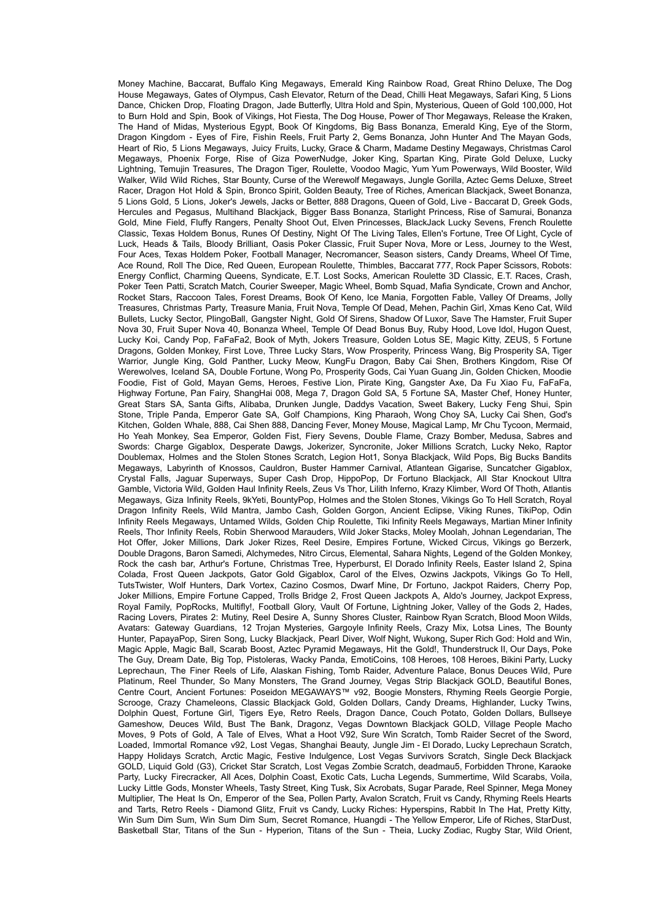Money Machine, Baccarat, Buffalo King Megaways, Emerald King Rainbow Road, Great Rhino Deluxe, The Dog House Megaways, Gates of Olympus, Cash Elevator, Return of the Dead, Chilli Heat Megaways, Safari King, 5 Lions Dance, Chicken Drop, Floating Dragon, Jade Butterfly, Ultra Hold and Spin, Mysterious, Queen of Gold 100,000, Hot to Burn Hold and Spin, Book of Vikings, Hot Fiesta, The Dog House, Power of Thor Megaways, Release the Kraken, The Hand of Midas, Mysterious Egypt, Book Of Kingdoms, Big Bass Bonanza, Emerald King, Eye of the Storm, Dragon Kingdom - Eyes of Fire, Fishin Reels, Fruit Party 2, Gems Bonanza, John Hunter And The Mayan Gods, Heart of Rio, 5 Lions Megaways, Juicy Fruits, Lucky, Grace & Charm, Madame Destiny Megaways, Christmas Carol Megaways, Phoenix Forge, Rise of Giza PowerNudge, Joker King, Spartan King, Pirate Gold Deluxe, Lucky Lightning, Temujin Treasures, The Dragon Tiger, Roulette, Voodoo Magic, Yum Yum Powerways, Wild Booster, Wild Walker, Wild Wild Riches, Star Bounty, Curse of the Werewolf Megaways, Jungle Gorilla, Aztec Gems Deluxe, Street Racer, Dragon Hot Hold & Spin, Bronco Spirit, Golden Beauty, Tree of Riches, American Blackjack, Sweet Bonanza, 5 Lions Gold, 5 Lions, Joker's Jewels, Jacks or Better, 888 Dragons, Queen of Gold, Live - Baccarat D, Greek Gods, Hercules and Pegasus, Multihand Blackjack, Bigger Bass Bonanza, Starlight Princess, Rise of Samurai, Bonanza Gold, Mine Field, Fluffy Rangers, Penalty Shoot Out, Elven Princesses, BlackJack Lucky Sevens, French Roulette Classic, Texas Holdem Bonus, Runes Of Destiny, Night Of The Living Tales, Ellen's Fortune, Tree Of Light, Cycle of Luck, Heads & Tails, Bloody Brilliant, Oasis Poker Classic, Fruit Super Nova, More or Less, Journey to the West, Four Aces, Texas Holdem Poker, Football Manager, Necromancer, Season sisters, Candy Dreams, Wheel Of Time, Ace Round, Roll The Dice, Red Queen, European Roulette, Thimbles, Baccarat 777, Rock Paper Scissors, Robots: Energy Conflict, Charming Queens, Syndicate, E.T. Lost Socks, American Roulette 3D Classic, E.T. Races, Crash, Poker Teen Patti, Scratch Match, Courier Sweeper, Magic Wheel, Bomb Squad, Mafia Syndicate, Crown and Anchor, Rocket Stars, Raccoon Tales, Forest Dreams, Book Of Keno, Ice Mania, Forgotten Fable, Valley Of Dreams, Jolly Treasures, Christmas Party, Treasure Mania, Fruit Nova, Temple Of Dead, Mehen, Pachin Girl, Xmas Keno Cat, Wild Bullets, Lucky Sector, PlingoBall, Gangster Night, Gold Of Sirens, Shadow Of Luxor, Save The Hamster, Fruit Super Nova 30, Fruit Super Nova 40, Bonanza Wheel, Temple Of Dead Bonus Buy, Ruby Hood, Love Idol, Hugon Quest, Lucky Koi, Candy Pop, FaFaFa2, Book of Myth, Jokers Treasure, Golden Lotus SE, Magic Kitty, ZEUS, 5 Fortune Dragons, Golden Monkey, First Love, Three Lucky Stars, Wow Prosperity, Princess Wang, Big Prosperity SA, Tiger Warrior, Jungle King, Gold Panther, Lucky Meow, KungFu Dragon, Baby Cai Shen, Brothers Kingdom, Rise Of Werewolves, Iceland SA, Double Fortune, Wong Po, Prosperity Gods, Cai Yuan Guang Jin, Golden Chicken, Moodie Foodie, Fist of Gold, Mayan Gems, Heroes, Festive Lion, Pirate King, Gangster Axe, Da Fu Xiao Fu, FaFaFa, Highway Fortune, Pan Fairy, ShangHai 008, Mega 7, Dragon Gold SA, 5 Fortune SA, Master Chef, Honey Hunter, Great Stars SA, Santa Gifts, Alibaba, Drunken Jungle, Daddys Vacation, Sweet Bakery, Lucky Feng Shui, Spin Stone, Triple Panda, Emperor Gate SA, Golf Champions, King Pharaoh, Wong Choy SA, Lucky Cai Shen, God's Kitchen, Golden Whale, 888, Cai Shen 888, Dancing Fever, Money Mouse, Magical Lamp, Mr Chu Tycoon, Mermaid, Ho Yeah Monkey, Sea Emperor, Golden Fist, Fiery Sevens, Double Flame, Crazy Bomber, Medusa, Sabres and Swords: Charge Gigablox, Desperate Dawgs, Jokerizer, Syncronite, Joker Millions Scratch, Lucky Neko, Raptor Doublemax, Holmes and the Stolen Stones Scratch, Legion Hot1, Sonya Blackjack, Wild Pops, Big Bucks Bandits Megaways, Labyrinth of Knossos, Cauldron, Buster Hammer Carnival, Atlantean Gigarise, Suncatcher Gigablox, Crystal Falls, Jaguar Superways, Super Cash Drop, HippoPop, Dr Fortuno Blackjack, All Star Knockout Ultra Gamble, Victoria Wild, Golden Haul Infinity Reels, Zeus Vs Thor, Lilith Inferno, Krazy Klimber, Word Of Thoth, Atlantis Megaways, Giza Infinity Reels, 9kYeti, BountyPop, Holmes and the Stolen Stones, Vikings Go To Hell Scratch, Royal Dragon Infinity Reels, Wild Mantra, Jambo Cash, Golden Gorgon, Ancient Eclipse, Viking Runes, TikiPop, Odin Infinity Reels Megaways, Untamed Wilds, Golden Chip Roulette, Tiki Infinity Reels Megaways, Martian Miner Infinity Reels, Thor Infinity Reels, Robin Sherwood Marauders, Wild Joker Stacks, Moley Moolah, Johnan Legendarian, The Hot Offer, Joker Millions, Dark Joker Rizes, Reel Desire, Empires Fortune, Wicked Circus, Vikings go Berzerk, Double Dragons, Baron Samedi, Alchymedes, Nitro Circus, Elemental, Sahara Nights, Legend of the Golden Monkey, Rock the cash bar, Arthur's Fortune, Christmas Tree, Hyperburst, El Dorado Infinity Reels, Easter Island 2, Spina Colada, Frost Queen Jackpots, Gator Gold Gigablox, Carol of the Elves, Ozwins Jackpots, Vikings Go To Hell, TutsTwister, Wolf Hunters, Dark Vortex, Cazino Cosmos, Dwarf Mine, Dr Fortuno, Jackpot Raiders, Cherry Pop, Joker Millions, Empire Fortune Capped, Trolls Bridge 2, Frost Queen Jackpots A, Aldo's Journey, Jackpot Express, Royal Family, PopRocks, Multifly!, Football Glory, Vault Of Fortune, Lightning Joker, Valley of the Gods 2, Hades, Racing Lovers, Pirates 2: Mutiny, Reel Desire A, Sunny Shores Cluster, Rainbow Ryan Scratch, Blood Moon Wilds, Avatars: Gateway Guardians, 12 Trojan Mysteries, Gargoyle Infinity Reels, Crazy Mix, Lotsa Lines, The Bounty Hunter, PapayaPop, Siren Song, Lucky Blackjack, Pearl Diver, Wolf Night, Wukong, Super Rich God: Hold and Win, Magic Apple, Magic Ball, Scarab Boost, Aztec Pyramid Megaways, Hit the Gold!, Thunderstruck II, Our Days, Poke The Guy, Dream Date, Big Top, Pistoleras, Wacky Panda, EmotiCoins, 108 Heroes, 108 Heroes, Bikini Party, Lucky Leprechaun, The Finer Reels of Life, Alaskan Fishing, Tomb Raider, Adventure Palace, Bonus Deuces Wild, Pure Platinum, Reel Thunder, So Many Monsters, The Grand Journey, Vegas Strip Blackjack GOLD, Beautiful Bones, Centre Court, Ancient Fortunes: Poseidon MEGAWAYS™ v92, Boogie Monsters, Rhyming Reels Georgie Porgie, Scrooge, Crazy Chameleons, Classic Blackjack Gold, Golden Dollars, Candy Dreams, Highlander, Lucky Twins, Dolphin Quest, Fortune Girl, Tigers Eye, Retro Reels, Dragon Dance, Couch Potato, Golden Dollars, Bullseye Gameshow, Deuces Wild, Bust The Bank, Dragonz, Vegas Downtown Blackjack GOLD, Village People Macho Moves, 9 Pots of Gold, A Tale of Elves, What a Hoot V92, Sure Win Scratch, Tomb Raider Secret of the Sword, Loaded, Immortal Romance v92, Lost Vegas, Shanghai Beauty, Jungle Jim - El Dorado, Lucky Leprechaun Scratch, Happy Holidays Scratch, Arctic Magic, Festive Indulgence, Lost Vegas Survivors Scratch, Single Deck Blackjack GOLD, Liquid Gold (G3), Cricket Star Scratch, Lost Vegas Zombie Scratch, deadmau5, Forbidden Throne, Karaoke Party, Lucky Firecracker, All Aces, Dolphin Coast, Exotic Cats, Lucha Legends, Summertime, Wild Scarabs, Voila, Lucky Little Gods, Monster Wheels, Tasty Street, King Tusk, Six Acrobats, Sugar Parade, Reel Spinner, Mega Money Multiplier, The Heat Is On, Emperor of the Sea, Pollen Party, Avalon Scratch, Fruit vs Candy, Rhyming Reels Hearts and Tarts, Retro Reels - Diamond Glitz, Fruit vs Candy, Lucky Riches: Hyperspins, Rabbit In The Hat, Pretty Kitty, Win Sum Dim Sum, Win Sum Dim Sum, Secret Romance, Huangdi - The Yellow Emperor, Life of Riches, StarDust, Basketball Star, Titans of the Sun - Hyperion, Titans of the Sun - Theia, Lucky Zodiac, Rugby Star, Wild Orient,